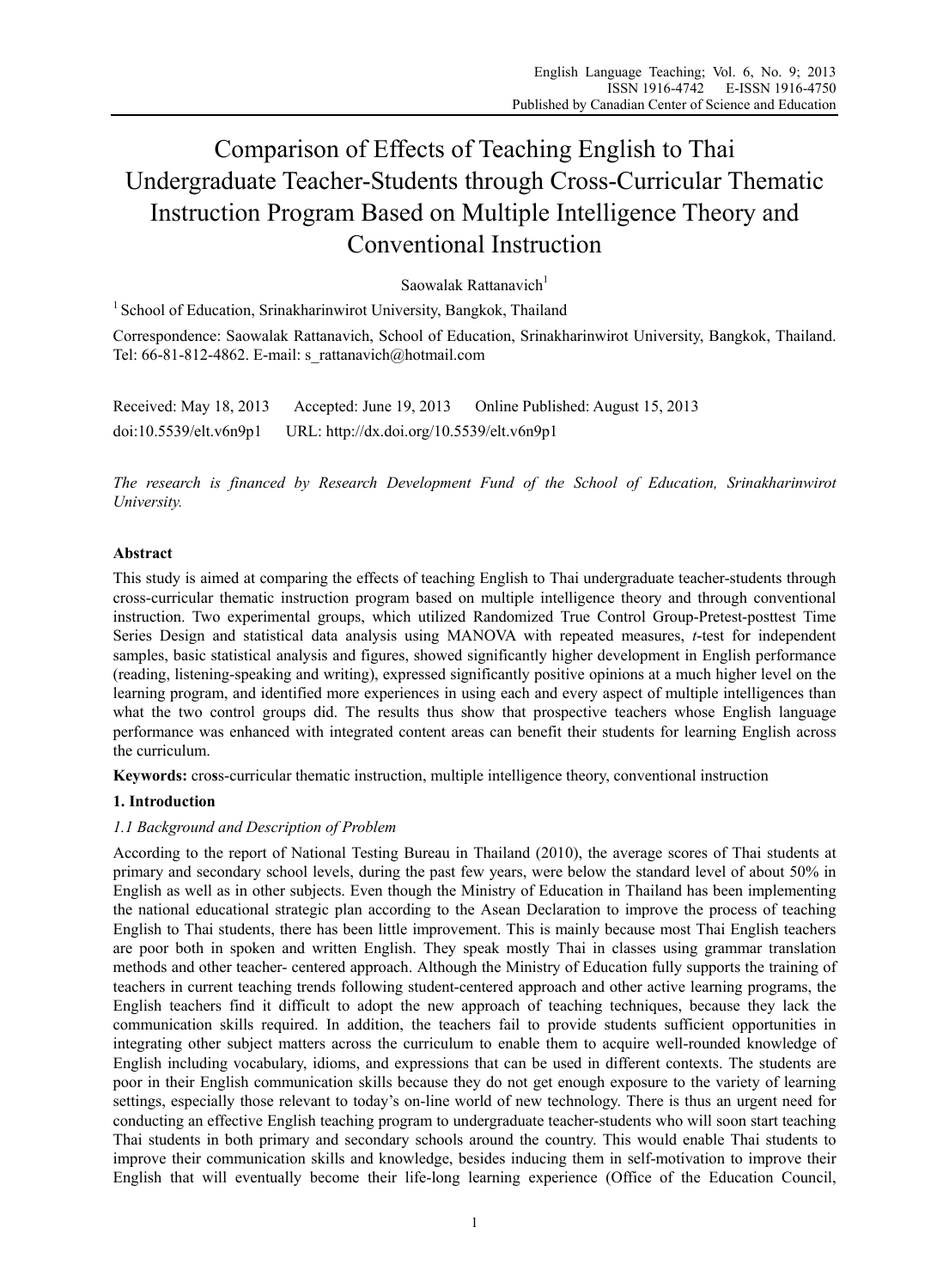# Comparison of Effects of Teaching English to Thai Undergraduate Teacher-Students through Cross-Curricular Thematic Instruction Program Based on Multiple Intelligence Theory and Conventional Instruction

Saowalak Rattanavich $<sup>1</sup>$ </sup>

 $1$  School of Education, Srinakharinwirot University, Bangkok, Thailand

Correspondence: Saowalak Rattanavich, School of Education, Srinakharinwirot University, Bangkok, Thailand. Tel: 66-81-812-4862. E-mail: s\_rattanavich@hotmail.com

Received: May 18, 2013 Accepted: June 19, 2013 Online Published: August 15, 2013 doi:10.5539/elt.v6n9p1 URL: http://dx.doi.org/10.5539/elt.v6n9p1

*The research is financed by Research Development Fund of the School of Education, Srinakharinwirot University.* 

# **Abstract**

This study is aimed at comparing the effects of teaching English to Thai undergraduate teacher-students through cross-curricular thematic instruction program based on multiple intelligence theory and through conventional instruction. Two experimental groups, which utilized Randomized True Control Group-Pretest-posttest Time Series Design and statistical data analysis using MANOVA with repeated measures, *t*-test for independent samples, basic statistical analysis and figures, showed significantly higher development in English performance (reading, listening-speaking and writing), expressed significantly positive opinions at a much higher level on the learning program, and identified more experiences in using each and every aspect of multiple intelligences than what the two control groups did. The results thus show that prospective teachers whose English language performance was enhanced with integrated content areas can benefit their students for learning English across the curriculum.

**Keywords:** cro**s**s-curricular thematic instruction, multiple intelligence theory, conventional instruction

# **1. Introduction**

## *1.1 Background and Description of Problem*

According to the report of National Testing Bureau in Thailand (2010), the average scores of Thai students at primary and secondary school levels, during the past few years, were below the standard level of about 50% in English as well as in other subjects. Even though the Ministry of Education in Thailand has been implementing the national educational strategic plan according to the Asean Declaration to improve the process of teaching English to Thai students, there has been little improvement. This is mainly because most Thai English teachers are poor both in spoken and written English. They speak mostly Thai in classes using grammar translation methods and other teacher- centered approach. Although the Ministry of Education fully supports the training of teachers in current teaching trends following student-centered approach and other active learning programs, the English teachers find it difficult to adopt the new approach of teaching techniques, because they lack the communication skills required. In addition, the teachers fail to provide students sufficient opportunities in integrating other subject matters across the curriculum to enable them to acquire well-rounded knowledge of English including vocabulary, idioms, and expressions that can be used in different contexts. The students are poor in their English communication skills because they do not get enough exposure to the variety of learning settings, especially those relevant to today's on-line world of new technology. There is thus an urgent need for conducting an effective English teaching program to undergraduate teacher-students who will soon start teaching Thai students in both primary and secondary schools around the country. This would enable Thai students to improve their communication skills and knowledge, besides inducing them in self-motivation to improve their English that will eventually become their life-long learning experience (Office of the Education Council,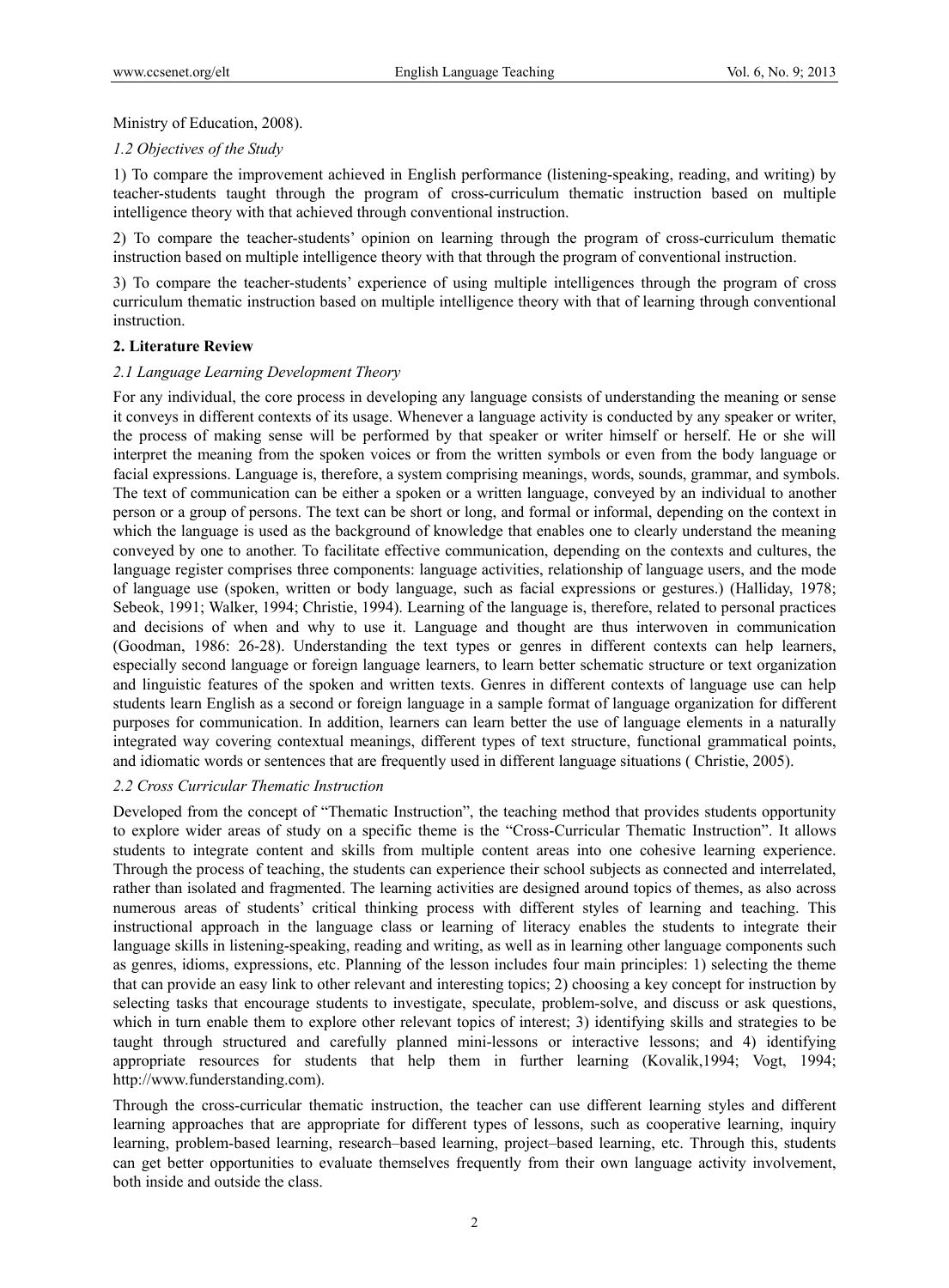## Ministry of Education, 2008).

## *1.2 Objectives of the Study*

1) To compare the improvement achieved in English performance (listening-speaking, reading, and writing) by teacher-students taught through the program of cross-curriculum thematic instruction based on multiple intelligence theory with that achieved through conventional instruction.

2) To compare the teacher-students' opinion on learning through the program of cross-curriculum thematic instruction based on multiple intelligence theory with that through the program of conventional instruction.

3) To compare the teacher-students' experience of using multiple intelligences through the program of cross curriculum thematic instruction based on multiple intelligence theory with that of learning through conventional instruction.

## **2. Literature Review**

#### *2.1 Language Learning Development Theory*

For any individual, the core process in developing any language consists of understanding the meaning or sense it conveys in different contexts of its usage. Whenever a language activity is conducted by any speaker or writer, the process of making sense will be performed by that speaker or writer himself or herself. He or she will interpret the meaning from the spoken voices or from the written symbols or even from the body language or facial expressions. Language is, therefore, a system comprising meanings, words, sounds, grammar, and symbols. The text of communication can be either a spoken or a written language, conveyed by an individual to another person or a group of persons. The text can be short or long, and formal or informal, depending on the context in which the language is used as the background of knowledge that enables one to clearly understand the meaning conveyed by one to another. To facilitate effective communication, depending on the contexts and cultures, the language register comprises three components: language activities, relationship of language users, and the mode of language use (spoken, written or body language, such as facial expressions or gestures.) (Halliday, 1978; Sebeok, 1991; Walker, 1994; Christie, 1994). Learning of the language is, therefore, related to personal practices and decisions of when and why to use it. Language and thought are thus interwoven in communication (Goodman, 1986: 26-28). Understanding the text types or genres in different contexts can help learners, especially second language or foreign language learners, to learn better schematic structure or text organization and linguistic features of the spoken and written texts. Genres in different contexts of language use can help students learn English as a second or foreign language in a sample format of language organization for different purposes for communication. In addition, learners can learn better the use of language elements in a naturally integrated way covering contextual meanings, different types of text structure, functional grammatical points, and idiomatic words or sentences that are frequently used in different language situations ( Christie, 2005).

## *2.2 Cross Curricular Thematic Instruction*

Developed from the concept of "Thematic Instruction", the teaching method that provides students opportunity to explore wider areas of study on a specific theme is the "Cross-Curricular Thematic Instruction". It allows students to integrate content and skills from multiple content areas into one cohesive learning experience. Through the process of teaching, the students can experience their school subjects as connected and interrelated, rather than isolated and fragmented. The learning activities are designed around topics of themes, as also across numerous areas of students' critical thinking process with different styles of learning and teaching. This instructional approach in the language class or learning of literacy enables the students to integrate their language skills in listening-speaking, reading and writing, as well as in learning other language components such as genres, idioms, expressions, etc. Planning of the lesson includes four main principles: 1) selecting the theme that can provide an easy link to other relevant and interesting topics; 2) choosing a key concept for instruction by selecting tasks that encourage students to investigate, speculate, problem-solve, and discuss or ask questions, which in turn enable them to explore other relevant topics of interest; 3) identifying skills and strategies to be taught through structured and carefully planned mini-lessons or interactive lessons; and 4) identifying appropriate resources for students that help them in further learning (Kovalik,1994; Vogt, 1994; http://www.funderstanding.com).

Through the cross-curricular thematic instruction, the teacher can use different learning styles and different learning approaches that are appropriate for different types of lessons, such as cooperative learning, inquiry learning, problem-based learning, research–based learning, project–based learning, etc. Through this, students can get better opportunities to evaluate themselves frequently from their own language activity involvement, both inside and outside the class.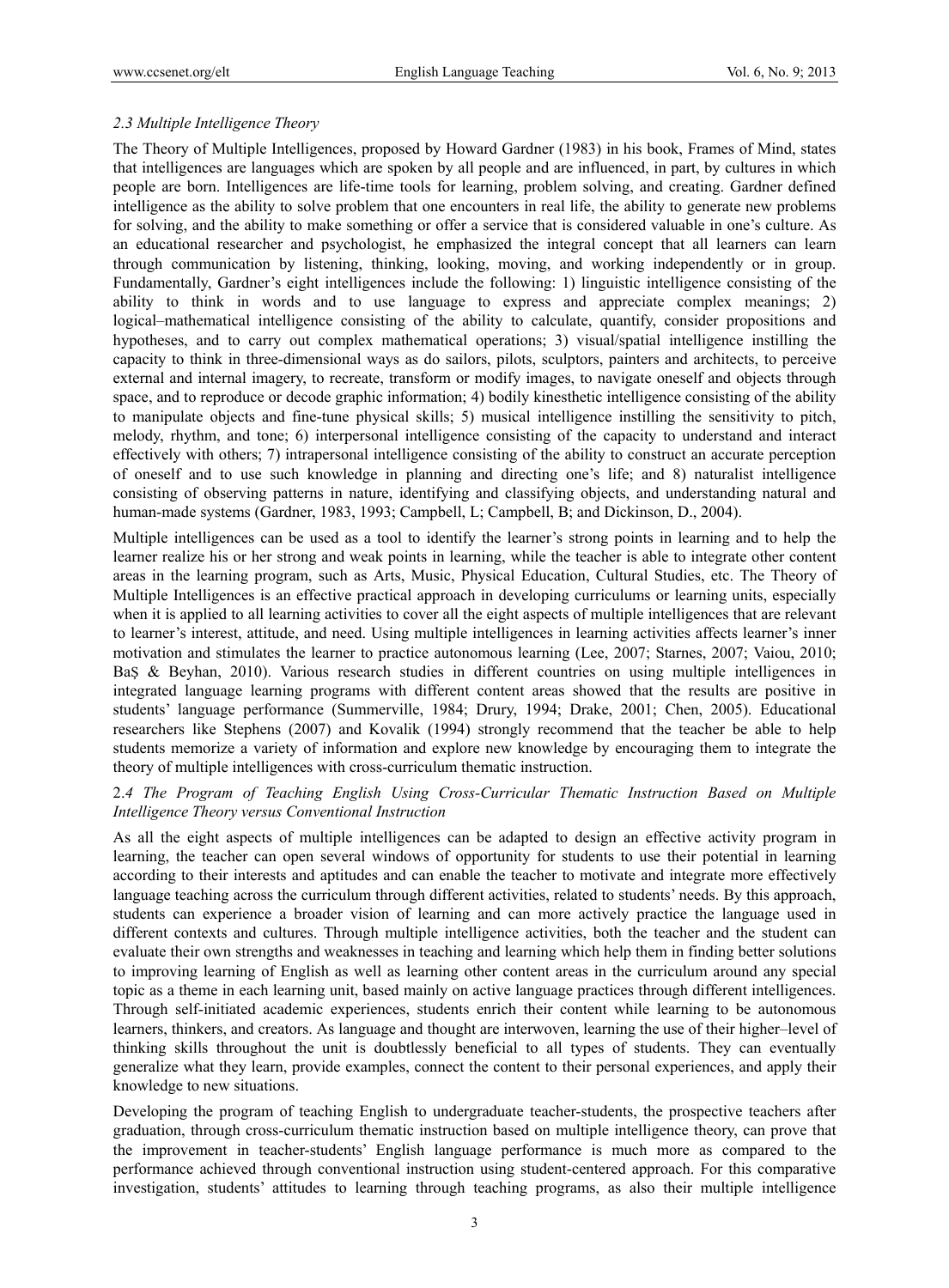## *2.3 Multiple Intelligence Theory*

The Theory of Multiple Intelligences, proposed by Howard Gardner (1983) in his book, Frames of Mind, states that intelligences are languages which are spoken by all people and are influenced, in part, by cultures in which people are born. Intelligences are life-time tools for learning, problem solving, and creating. Gardner defined intelligence as the ability to solve problem that one encounters in real life, the ability to generate new problems for solving, and the ability to make something or offer a service that is considered valuable in one's culture. As an educational researcher and psychologist, he emphasized the integral concept that all learners can learn through communication by listening, thinking, looking, moving, and working independently or in group. Fundamentally, Gardner's eight intelligences include the following: 1) linguistic intelligence consisting of the ability to think in words and to use language to express and appreciate complex meanings; 2) logical–mathematical intelligence consisting of the ability to calculate, quantify, consider propositions and hypotheses, and to carry out complex mathematical operations; 3) visual/spatial intelligence instilling the capacity to think in three-dimensional ways as do sailors, pilots, sculptors, painters and architects, to perceive external and internal imagery, to recreate, transform or modify images, to navigate oneself and objects through space, and to reproduce or decode graphic information; 4) bodily kinesthetic intelligence consisting of the ability to manipulate objects and fine-tune physical skills; 5) musical intelligence instilling the sensitivity to pitch, melody, rhythm, and tone; 6) interpersonal intelligence consisting of the capacity to understand and interact effectively with others; 7) intrapersonal intelligence consisting of the ability to construct an accurate perception of oneself and to use such knowledge in planning and directing one's life; and 8) naturalist intelligence consisting of observing patterns in nature, identifying and classifying objects, and understanding natural and human-made systems (Gardner, 1983, 1993; Campbell, L; Campbell, B; and Dickinson, D., 2004).

Multiple intelligences can be used as a tool to identify the learner's strong points in learning and to help the learner realize his or her strong and weak points in learning, while the teacher is able to integrate other content areas in the learning program, such as Arts, Music, Physical Education, Cultural Studies, etc. The Theory of Multiple Intelligences is an effective practical approach in developing curriculums or learning units, especially when it is applied to all learning activities to cover all the eight aspects of multiple intelligences that are relevant to learner's interest, attitude, and need. Using multiple intelligences in learning activities affects learner's inner motivation and stimulates the learner to practice autonomous learning (Lee, 2007; Starnes, 2007; Vaiou, 2010; BaŞ & Beyhan, 2010). Various research studies in different countries on using multiple intelligences in integrated language learning programs with different content areas showed that the results are positive in students' language performance (Summerville, 1984; Drury, 1994; Drake, 2001; Chen, 2005). Educational researchers like Stephens (2007) and Kovalik (1994) strongly recommend that the teacher be able to help students memorize a variety of information and explore new knowledge by encouraging them to integrate the theory of multiple intelligences with cross-curriculum thematic instruction.

## 2.*4 The Program of Teaching English Using Cross-Curricular Thematic Instruction Based on Multiple Intelligence Theory versus Conventional Instruction*

As all the eight aspects of multiple intelligences can be adapted to design an effective activity program in learning, the teacher can open several windows of opportunity for students to use their potential in learning according to their interests and aptitudes and can enable the teacher to motivate and integrate more effectively language teaching across the curriculum through different activities, related to students' needs. By this approach, students can experience a broader vision of learning and can more actively practice the language used in different contexts and cultures. Through multiple intelligence activities, both the teacher and the student can evaluate their own strengths and weaknesses in teaching and learning which help them in finding better solutions to improving learning of English as well as learning other content areas in the curriculum around any special topic as a theme in each learning unit, based mainly on active language practices through different intelligences. Through self-initiated academic experiences, students enrich their content while learning to be autonomous learners, thinkers, and creators. As language and thought are interwoven, learning the use of their higher–level of thinking skills throughout the unit is doubtlessly beneficial to all types of students. They can eventually generalize what they learn, provide examples, connect the content to their personal experiences, and apply their knowledge to new situations.

Developing the program of teaching English to undergraduate teacher-students, the prospective teachers after graduation, through cross-curriculum thematic instruction based on multiple intelligence theory, can prove that the improvement in teacher-students' English language performance is much more as compared to the performance achieved through conventional instruction using student-centered approach. For this comparative investigation, students' attitudes to learning through teaching programs, as also their multiple intelligence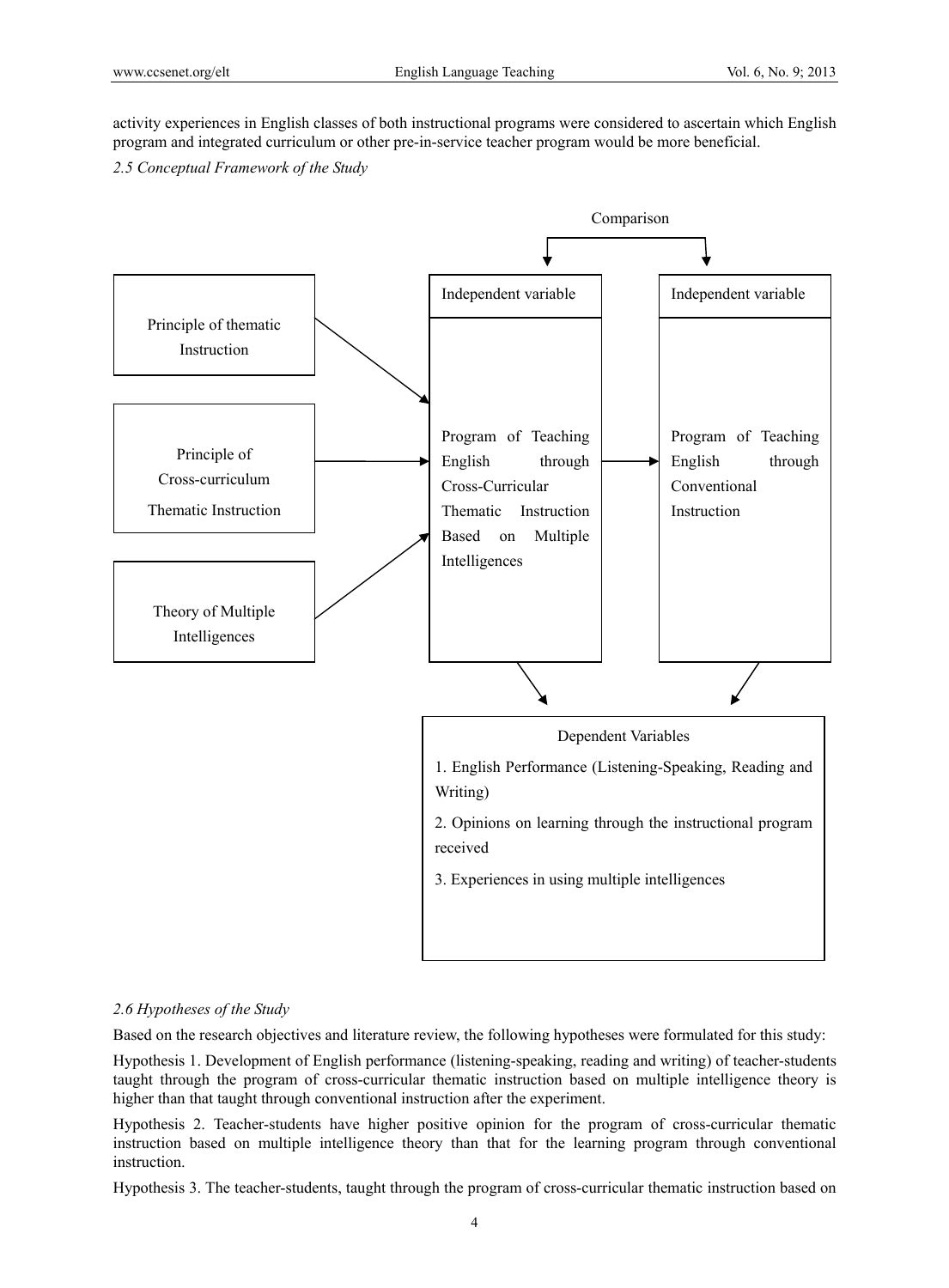activity experiences in English classes of both instructional programs were considered to ascertain which English program and integrated curriculum or other pre-in-service teacher program would be more beneficial.

*2.5 Conceptual Framework of the Study* 



## *2.6 Hypotheses of the Study*

Based on the research objectives and literature review, the following hypotheses were formulated for this study:

Hypothesis 1. Development of English performance (listening-speaking, reading and writing) of teacher-students taught through the program of cross-curricular thematic instruction based on multiple intelligence theory is higher than that taught through conventional instruction after the experiment.

Hypothesis 2. Teacher-students have higher positive opinion for the program of cross-curricular thematic instruction based on multiple intelligence theory than that for the learning program through conventional instruction.

Hypothesis 3. The teacher-students, taught through the program of cross-curricular thematic instruction based on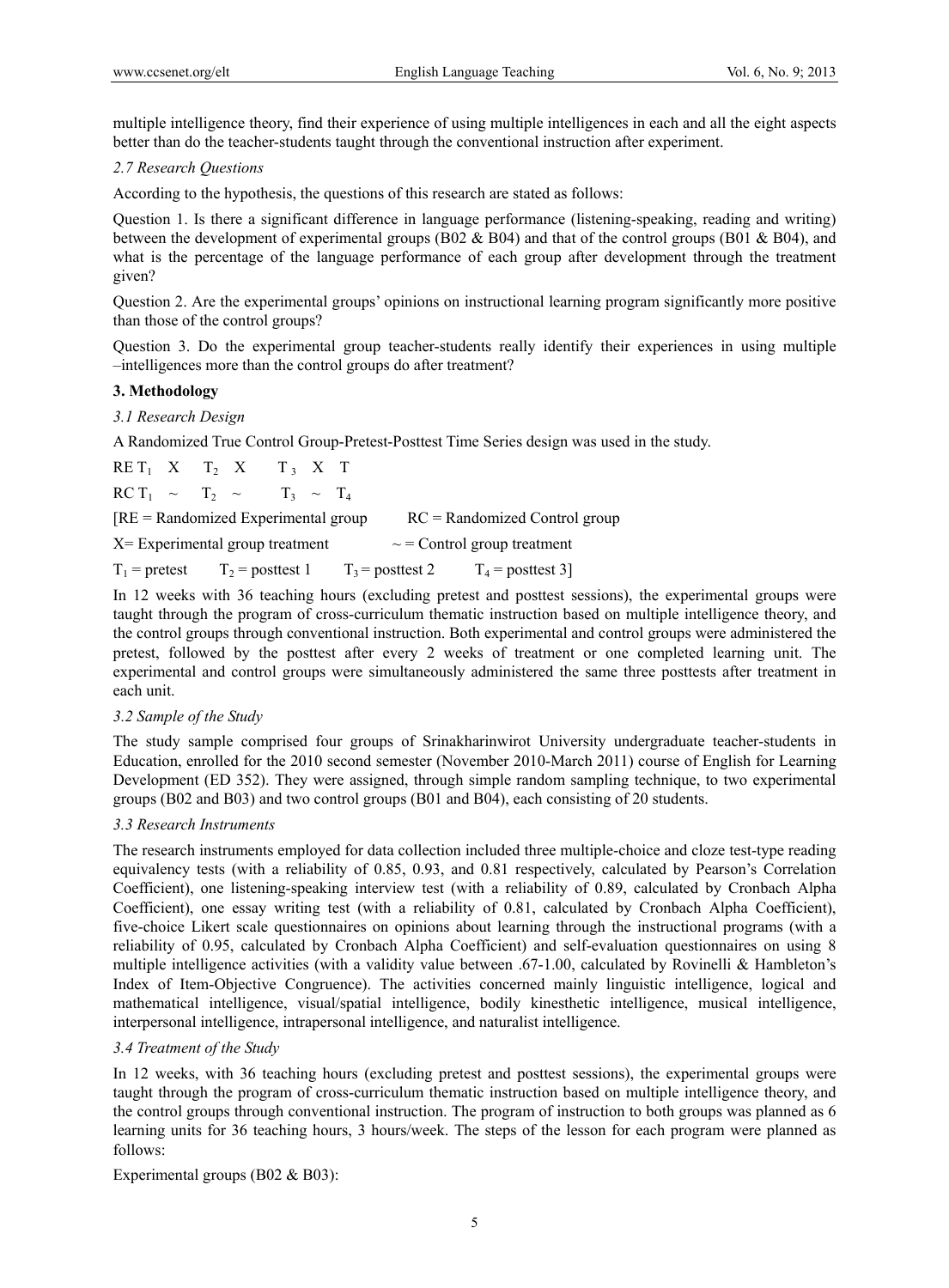multiple intelligence theory, find their experience of using multiple intelligences in each and all the eight aspects better than do the teacher-students taught through the conventional instruction after experiment.

## *2.7 Research Questions*

According to the hypothesis, the questions of this research are stated as follows:

Question 1. Is there a significant difference in language performance (listening-speaking, reading and writing) between the development of experimental groups (B02 & B04) and that of the control groups (B01 & B04), and what is the percentage of the language performance of each group after development through the treatment given?

Question 2. Are the experimental groups' opinions on instructional learning program significantly more positive than those of the control groups?

Question 3. Do the experimental group teacher-students really identify their experiences in using multiple –intelligences more than the control groups do after treatment?

## **3. Methodology**

## *3.1 Research Design*

A Randomized True Control Group-Pretest-Posttest Time Series design was used in the study.

|                                                                        |  | $REF_1$ X $T_2$ X $T_3$ X T                 |  |  |  |                                                                          |  |
|------------------------------------------------------------------------|--|---------------------------------------------|--|--|--|--------------------------------------------------------------------------|--|
|                                                                        |  | $\text{RC } T_1 \sim T_2 \sim T_3 \sim T_4$ |  |  |  |                                                                          |  |
|                                                                        |  | $[RE = Randomized Experimental group]$      |  |  |  | $RC = Randomized Control group$                                          |  |
| $X =$ Experimental group treatment<br>$\sim$ = Control group treatment |  |                                             |  |  |  |                                                                          |  |
|                                                                        |  |                                             |  |  |  | $T_1$ = pretest $T_2$ = posttest 1 $T_3$ = posttest 2 $T_4$ = posttest 3 |  |

In 12 weeks with 36 teaching hours (excluding pretest and posttest sessions), the experimental groups were taught through the program of cross-curriculum thematic instruction based on multiple intelligence theory, and the control groups through conventional instruction. Both experimental and control groups were administered the pretest, followed by the posttest after every 2 weeks of treatment or one completed learning unit. The experimental and control groups were simultaneously administered the same three posttests after treatment in each unit.

## *3.2 Sample of the Study*

The study sample comprised four groups of Srinakharinwirot University undergraduate teacher-students in Education, enrolled for the 2010 second semester (November 2010-March 2011) course of English for Learning Development (ED 352). They were assigned, through simple random sampling technique, to two experimental groups (B02 and B03) and two control groups (B01 and B04), each consisting of 20 students.

#### *3.3 Research Instruments*

The research instruments employed for data collection included three multiple-choice and cloze test-type reading equivalency tests (with a reliability of 0.85, 0.93, and 0.81 respectively, calculated by Pearson's Correlation Coefficient), one listening-speaking interview test (with a reliability of 0.89, calculated by Cronbach Alpha Coefficient), one essay writing test (with a reliability of 0.81, calculated by Cronbach Alpha Coefficient), five-choice Likert scale questionnaires on opinions about learning through the instructional programs (with a reliability of 0.95, calculated by Cronbach Alpha Coefficient) and self-evaluation questionnaires on using 8 multiple intelligence activities (with a validity value between .67-1.00, calculated by Rovinelli & Hambleton's Index of Item-Objective Congruence). The activities concerned mainly linguistic intelligence, logical and mathematical intelligence, visual/spatial intelligence, bodily kinesthetic intelligence, musical intelligence, interpersonal intelligence, intrapersonal intelligence, and naturalist intelligence.

## *3.4 Treatment of the Study*

In 12 weeks, with 36 teaching hours (excluding pretest and posttest sessions), the experimental groups were taught through the program of cross-curriculum thematic instruction based on multiple intelligence theory, and the control groups through conventional instruction. The program of instruction to both groups was planned as 6 learning units for 36 teaching hours, 3 hours/week. The steps of the lesson for each program were planned as follows:

Experimental groups (B02 & B03):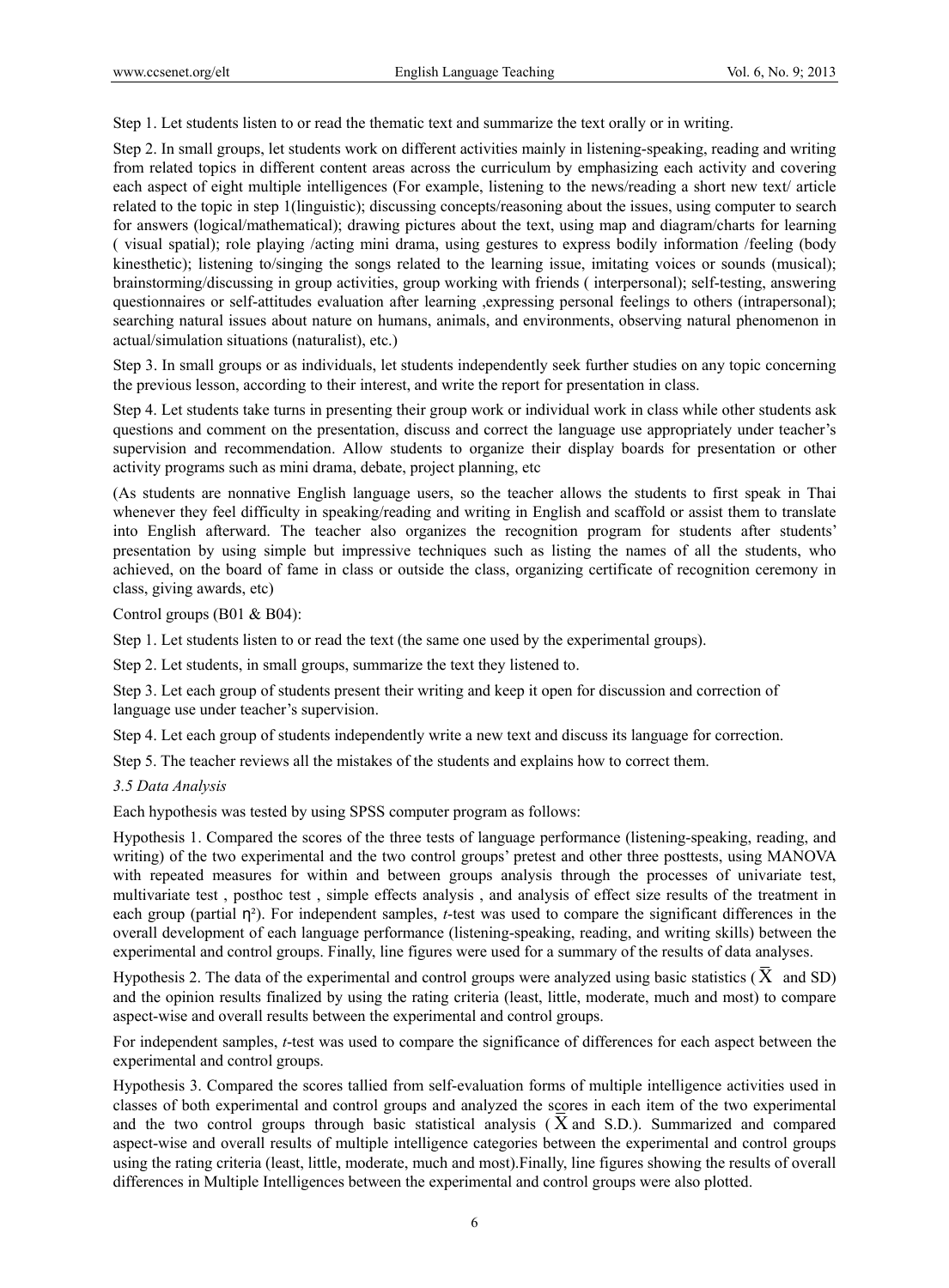Step 1. Let students listen to or read the thematic text and summarize the text orally or in writing.

Step 2. In small groups, let students work on different activities mainly in listening-speaking, reading and writing from related topics in different content areas across the curriculum by emphasizing each activity and covering each aspect of eight multiple intelligences (For example, listening to the news/reading a short new text/ article related to the topic in step 1(linguistic); discussing concepts/reasoning about the issues, using computer to search for answers (logical/mathematical); drawing pictures about the text, using map and diagram/charts for learning ( visual spatial); role playing /acting mini drama, using gestures to express bodily information /feeling (body kinesthetic); listening to/singing the songs related to the learning issue, imitating voices or sounds (musical); brainstorming/discussing in group activities, group working with friends ( interpersonal); self-testing, answering questionnaires or self-attitudes evaluation after learning ,expressing personal feelings to others (intrapersonal); searching natural issues about nature on humans, animals, and environments, observing natural phenomenon in actual/simulation situations (naturalist), etc.)

Step 3. In small groups or as individuals, let students independently seek further studies on any topic concerning the previous lesson, according to their interest, and write the report for presentation in class.

Step 4. Let students take turns in presenting their group work or individual work in class while other students ask questions and comment on the presentation, discuss and correct the language use appropriately under teacher's supervision and recommendation. Allow students to organize their display boards for presentation or other activity programs such as mini drama, debate, project planning, etc

(As students are nonnative English language users, so the teacher allows the students to first speak in Thai whenever they feel difficulty in speaking/reading and writing in English and scaffold or assist them to translate into English afterward. The teacher also organizes the recognition program for students after students' presentation by using simple but impressive techniques such as listing the names of all the students, who achieved, on the board of fame in class or outside the class, organizing certificate of recognition ceremony in class, giving awards, etc)

Control groups (B01 & B04):

Step 1. Let students listen to or read the text (the same one used by the experimental groups).

Step 2. Let students, in small groups, summarize the text they listened to.

Step 3. Let each group of students present their writing and keep it open for discussion and correction of language use under teacher's supervision.

Step 4. Let each group of students independently write a new text and discuss its language for correction.

Step 5. The teacher reviews all the mistakes of the students and explains how to correct them.

#### *3.5 Data Analysis*

Each hypothesis was tested by using SPSS computer program as follows:

Hypothesis 1. Compared the scores of the three tests of language performance (listening-speaking, reading, and writing) of the two experimental and the two control groups' pretest and other three posttests, using MANOVA with repeated measures for within and between groups analysis through the processes of univariate test, multivariate test , posthoc test , simple effects analysis , and analysis of effect size results of the treatment in each group (partial  $\eta^2$ ). For independent samples, *t*-test was used to compare the significant differences in the overall development of each language performance (listening-speaking, reading, and writing skills) between the experimental and control groups. Finally, line figures were used for a summary of the results of data analyses.

Hypothesis 2. The data of the experimental and control groups were analyzed using basic statistics  $(X \text{ and SD})$ and the opinion results finalized by using the rating criteria (least, little, moderate, much and most) to compare aspect-wise and overall results between the experimental and control groups.

For independent samples, *t*-test was used to compare the significance of differences for each aspect between the experimental and control groups.

Hypothesis 3. Compared the scores tallied from self-evaluation forms of multiple intelligence activities used in classes of both experimental and control groups and analyzed the scores in each item of the two experimental and the two control groups through basic statistical analysis ( X and S.D.). Summarized and compared aspect-wise and overall results of multiple intelligence categories between the experimental and control groups using the rating criteria (least, little, moderate, much and most).Finally, line figures showing the results of overall differences in Multiple Intelligences between the experimental and control groups were also plotted.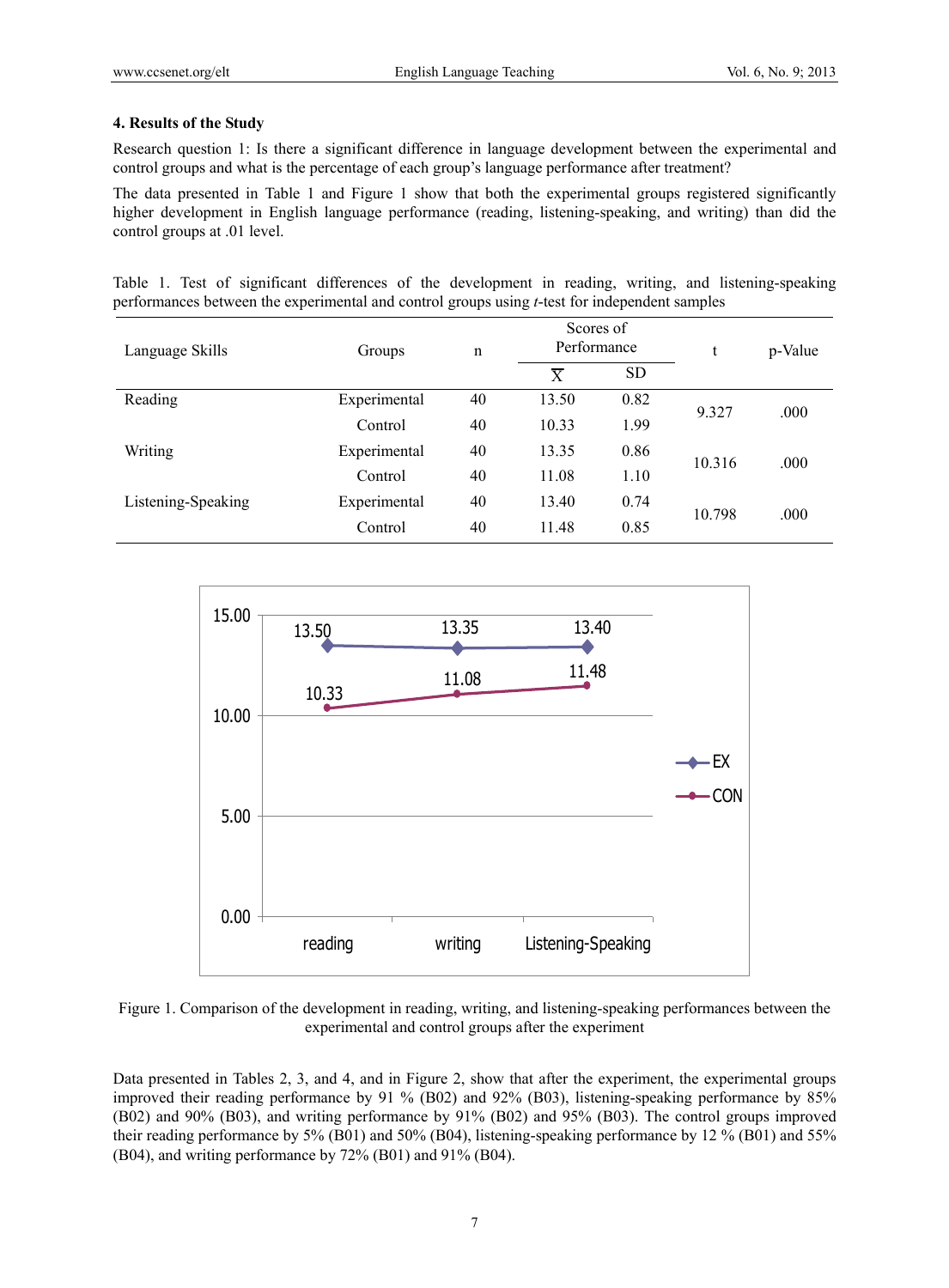## **4. Results of the Study**

Research question 1: Is there a significant difference in language development between the experimental and control groups and what is the percentage of each group's language performance after treatment?

The data presented in Table 1 and Figure 1 show that both the experimental groups registered significantly higher development in English language performance (reading, listening-speaking, and writing) than did the control groups at .01 level.

Table 1. Test of significant differences of the development in reading, writing, and listening-speaking performances between the experimental and control groups using *t*-test for independent samples

| Language Skills    | Groups       | n                   | Scores of<br>Performance |           | t      | p-Value |  |
|--------------------|--------------|---------------------|--------------------------|-----------|--------|---------|--|
|                    |              |                     | $\overline{X}$           | <b>SD</b> |        |         |  |
| Reading            | Experimental | 40                  | 13.50                    | 0.82      | 9.327  | .000    |  |
|                    | Control      | 40                  | 10.33                    | 1.99      |        |         |  |
| Writing            | Experimental | 40                  | 13.35                    | 0.86      | 10.316 | .000    |  |
|                    | Control      | 40<br>11.08<br>1.10 |                          |           |        |         |  |
| Listening-Speaking | Experimental | 40                  | 13.40                    | 0.74      |        |         |  |
|                    | Control      | 40                  | 11.48                    | 0.85      | 10.798 | .000    |  |



Figure 1. Comparison of the development in reading, writing, and listening-speaking performances between the experimental and control groups after the experiment

Data presented in Tables 2, 3, and 4, and in Figure 2, show that after the experiment, the experimental groups improved their reading performance by 91 % (B02) and 92% (B03), listening-speaking performance by 85% (B02) and 90% (B03), and writing performance by 91% (B02) and 95% (B03). The control groups improved their reading performance by 5% (B01) and 50% (B04), listening-speaking performance by 12 % (B01) and 55% (B04), and writing performance by 72% (B01) and 91% (B04).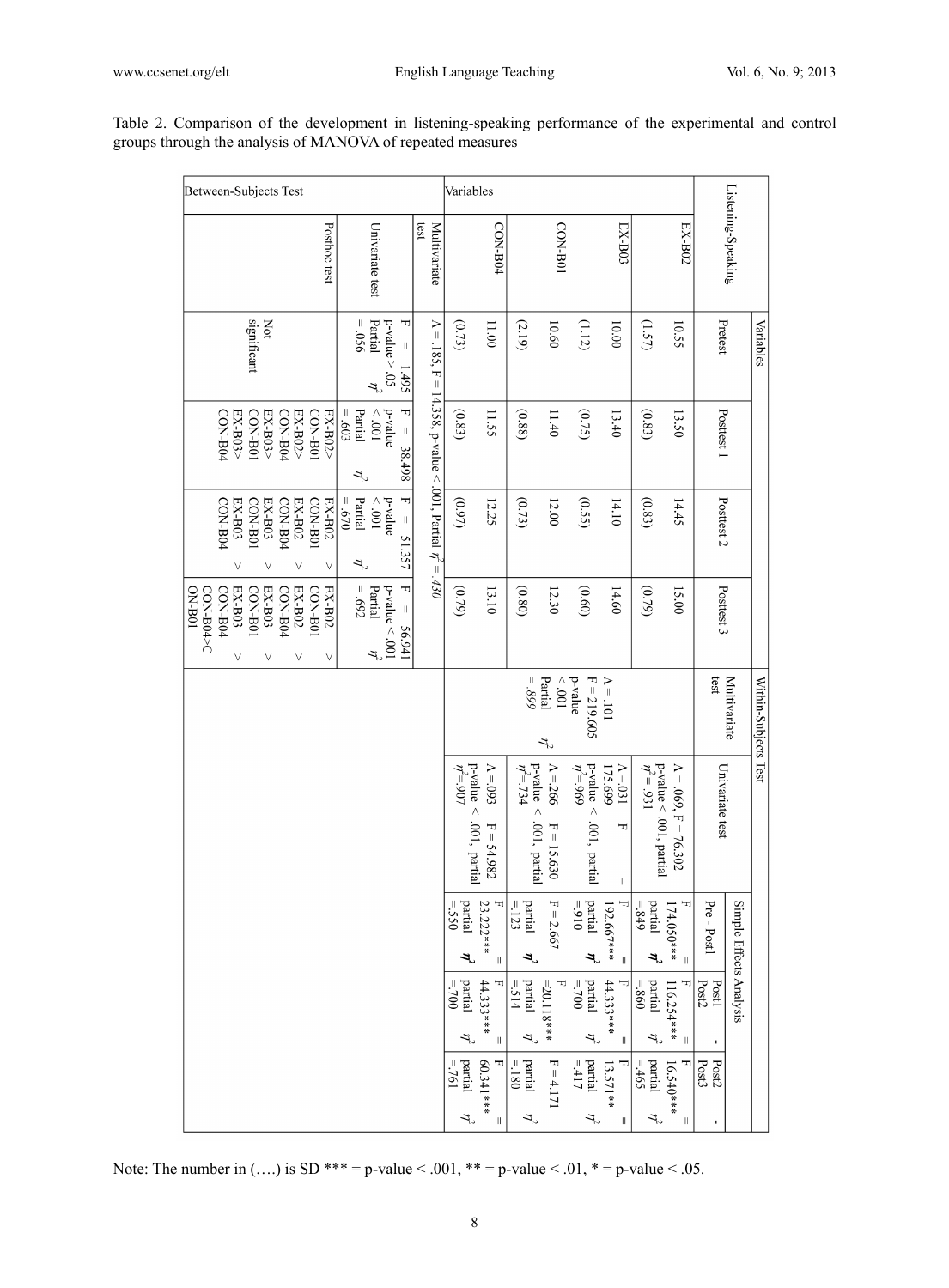| Listening-Speaking<br>significant<br>$= .056$<br>Partial<br>ᆩ<br>$\Lambda = .185$ , F = 14.358, p-value < .001, Partial $\eta' = .430$<br>Not<br>$p$ -value $> 0.5$<br>Pretest<br>10.00<br>(151)<br>(0.73)<br>11.00<br>10.60<br>(1.12)<br>10.55<br>(2.19)<br>$\parallel$<br>1.495<br>オッ<br>T<br>Partial<br>$= .603$<br>p-value<br>CON-B01<br>$100^\circ$ $>$<br>11.55<br>11.40<br>Posttest 1<br>CON-B04<br>CON-B0<br>EX-B03><br>CON-B04<br>EX-B02><br>EX-B02><br>(0.83)<br>(0.88)<br>(0.75)<br>13.40<br>(0.83)<br>EX-B03><br>13.50<br>$\parallel$<br>38.498<br>ユ<br>ᆔ<br>Partial<br>$0/29 =$<br>p-value<br>$EX-BO2$<br>$100^\circ$ $>$<br>Posttest <sub>2</sub><br><b>CON-B01</b><br>(0.97)<br>(0.73)<br>(0.55)<br>14.10<br>(0.83)<br>CON-B04<br>$EX--B03$<br><b>CON-B01</b><br>$EX-BO3$<br>CON-B04<br>$EX-BO2$<br>14.45<br>12.25<br>12.00<br>$\parallel$<br>51.357<br>ユ<br>٧<br>٧<br>٧<br>٧<br>H<br>$= .692$<br>CON-B04<br>$EX-IB03$<br>$EX-IB03$<br>EX-B02<br>CON-B0<br>Partial<br>$p-value < .001$<br>(0.80)<br>(0.60)<br>CON-B04>C<br>CON-B0<br>CON-B0 <sup>z</sup><br>EX-B02<br>(0.79)<br>(0.79)<br>Posttest 3<br><b>DN-B01</b><br>13.10<br>14.60<br>12.30<br>15.00<br>$\parallel$<br>56.941<br>$\mathcal{T}$<br>$\vee$<br>٧<br>٧<br>٧<br>$= .899$<br>p-value<br>$\Lambda = .101$<br>$100^\circ$<br>$F = 219.605$<br>test<br>Partial<br>Multivariate<br>$\tau$ |                      | Variables |  | Within-Subjects Test |                                                | Simple Effects Analysis |                                               |
|---------------------------------------------------------------------------------------------------------------------------------------------------------------------------------------------------------------------------------------------------------------------------------------------------------------------------------------------------------------------------------------------------------------------------------------------------------------------------------------------------------------------------------------------------------------------------------------------------------------------------------------------------------------------------------------------------------------------------------------------------------------------------------------------------------------------------------------------------------------------------------------------------------------------------------------------------------------------------------------------------------------------------------------------------------------------------------------------------------------------------------------------------------------------------------------------------------------------------------------------------------------------------------------------------------------------------------------------------------------------|----------------------|-----------|--|----------------------|------------------------------------------------|-------------------------|-----------------------------------------------|
|                                                                                                                                                                                                                                                                                                                                                                                                                                                                                                                                                                                                                                                                                                                                                                                                                                                                                                                                                                                                                                                                                                                                                                                                                                                                                                                                                                     |                      |           |  |                      | Univariate test                                |                         | Pre - Post1                                   |
|                                                                                                                                                                                                                                                                                                                                                                                                                                                                                                                                                                                                                                                                                                                                                                                                                                                                                                                                                                                                                                                                                                                                                                                                                                                                                                                                                                     | EX-B02               |           |  |                      | $\Lambda = .069, F = 76.302$                   |                         | ᆩ<br>174.050 ***<br>$\mid \mid$               |
|                                                                                                                                                                                                                                                                                                                                                                                                                                                                                                                                                                                                                                                                                                                                                                                                                                                                                                                                                                                                                                                                                                                                                                                                                                                                                                                                                                     |                      |           |  |                      | p-value < .001, partial<br>$\eta^2$ = .931     |                         | $= 849$<br>partial<br>Ļ<br>$= 860$<br>partial |
|                                                                                                                                                                                                                                                                                                                                                                                                                                                                                                                                                                                                                                                                                                                                                                                                                                                                                                                                                                                                                                                                                                                                                                                                                                                                                                                                                                     | EX-B03               |           |  |                      | $\Lambda$ =.031<br>175.699<br>ᆔ                | $\parallel$             | ᆩ<br>192.667***<br>$\lvert \rvert$            |
|                                                                                                                                                                                                                                                                                                                                                                                                                                                                                                                                                                                                                                                                                                                                                                                                                                                                                                                                                                                                                                                                                                                                                                                                                                                                                                                                                                     |                      |           |  |                      | $p-value <$<br>$\eta^2 = 969$<br>.001, partial |                         | $-916 =$<br>partial<br>T,<br>partial          |
|                                                                                                                                                                                                                                                                                                                                                                                                                                                                                                                                                                                                                                                                                                                                                                                                                                                                                                                                                                                                                                                                                                                                                                                                                                                                                                                                                                     | L08-NO2              |           |  |                      | $V = 266$<br>ᆔ<br>$\parallel$                  | 15.630                  | $F = 2.667$                                   |
|                                                                                                                                                                                                                                                                                                                                                                                                                                                                                                                                                                                                                                                                                                                                                                                                                                                                                                                                                                                                                                                                                                                                                                                                                                                                                                                                                                     |                      |           |  |                      | $p$ -value<br>$\eta^2$ =.734<br>Λ              | .001, partial           | partial<br>$=1123$<br>$\mathbf{r}$<br>partial |
|                                                                                                                                                                                                                                                                                                                                                                                                                                                                                                                                                                                                                                                                                                                                                                                                                                                                                                                                                                                                                                                                                                                                                                                                                                                                                                                                                                     | CON-B04              |           |  |                      | $\Lambda$ =.093<br>ᆔ                           | $=$ 54.982              | 23.222***<br>$\ensuremath{\mathsf{II}}$       |
|                                                                                                                                                                                                                                                                                                                                                                                                                                                                                                                                                                                                                                                                                                                                                                                                                                                                                                                                                                                                                                                                                                                                                                                                                                                                                                                                                                     |                      |           |  |                      | p-value<br>$\eta^2 = 907$<br>Λ                 | .001, partial           | partial<br>$-550$<br>T,                       |
|                                                                                                                                                                                                                                                                                                                                                                                                                                                                                                                                                                                                                                                                                                                                                                                                                                                                                                                                                                                                                                                                                                                                                                                                                                                                                                                                                                     | test<br>Multivariate |           |  |                      |                                                |                         |                                               |
|                                                                                                                                                                                                                                                                                                                                                                                                                                                                                                                                                                                                                                                                                                                                                                                                                                                                                                                                                                                                                                                                                                                                                                                                                                                                                                                                                                     |                      |           |  |                      |                                                |                         |                                               |
|                                                                                                                                                                                                                                                                                                                                                                                                                                                                                                                                                                                                                                                                                                                                                                                                                                                                                                                                                                                                                                                                                                                                                                                                                                                                                                                                                                     | Univariate test      |           |  |                      |                                                |                         |                                               |
|                                                                                                                                                                                                                                                                                                                                                                                                                                                                                                                                                                                                                                                                                                                                                                                                                                                                                                                                                                                                                                                                                                                                                                                                                                                                                                                                                                     |                      |           |  |                      |                                                |                         |                                               |
|                                                                                                                                                                                                                                                                                                                                                                                                                                                                                                                                                                                                                                                                                                                                                                                                                                                                                                                                                                                                                                                                                                                                                                                                                                                                                                                                                                     | Posthoc test         |           |  |                      |                                                |                         |                                               |
|                                                                                                                                                                                                                                                                                                                                                                                                                                                                                                                                                                                                                                                                                                                                                                                                                                                                                                                                                                                                                                                                                                                                                                                                                                                                                                                                                                     |                      |           |  |                      |                                                |                         |                                               |
|                                                                                                                                                                                                                                                                                                                                                                                                                                                                                                                                                                                                                                                                                                                                                                                                                                                                                                                                                                                                                                                                                                                                                                                                                                                                                                                                                                     |                      |           |  |                      |                                                |                         |                                               |
|                                                                                                                                                                                                                                                                                                                                                                                                                                                                                                                                                                                                                                                                                                                                                                                                                                                                                                                                                                                                                                                                                                                                                                                                                                                                                                                                                                     |                      |           |  |                      |                                                |                         |                                               |
|                                                                                                                                                                                                                                                                                                                                                                                                                                                                                                                                                                                                                                                                                                                                                                                                                                                                                                                                                                                                                                                                                                                                                                                                                                                                                                                                                                     |                      |           |  |                      |                                                |                         |                                               |

Table 2. Comparison of the development in listening-speaking performance of the experimental and control groups through the analysis of MANOVA of repeated measures

Note: The number in (....) is SD \*\*\* = p-value < .001, \*\* = p-value < .01, \* = p-value < .05.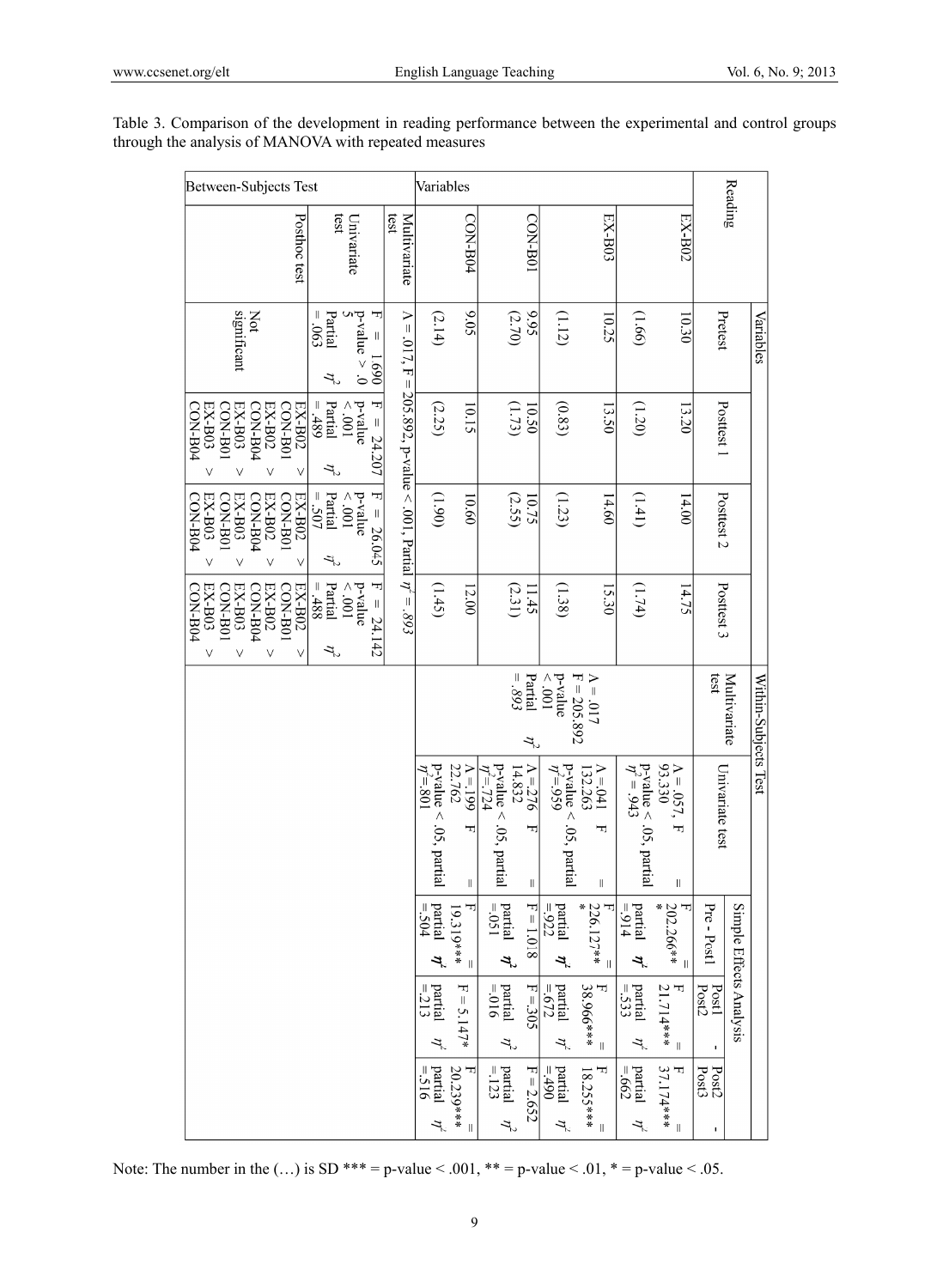| Between-Subjects Test                                                                                                       |                                                                                    |                                                                           | Variables                                                                             |                                                                                                             |                                                                                         |                                                                                               |                                        |                      |
|-----------------------------------------------------------------------------------------------------------------------------|------------------------------------------------------------------------------------|---------------------------------------------------------------------------|---------------------------------------------------------------------------------------|-------------------------------------------------------------------------------------------------------------|-----------------------------------------------------------------------------------------|-----------------------------------------------------------------------------------------------|----------------------------------------|----------------------|
|                                                                                                                             |                                                                                    |                                                                           |                                                                                       |                                                                                                             |                                                                                         |                                                                                               | Reading                                |                      |
| Posthoc test                                                                                                                | test<br>Univariate                                                                 | test<br>Multivariate                                                      | CON-B04                                                                               | <b>CON-B01</b>                                                                                              | $EX-BO3$                                                                                | EX-B02                                                                                        |                                        |                      |
| significant<br>Not                                                                                                          | $b$ -value $> 0$<br>ᆔ<br>Ш<br>Partial<br>$690^\circ$<br>$\mid \mid$<br>069'1<br>ŕ, |                                                                           | 60.6<br>(2.14)                                                                        | 9.95<br>(2.70)                                                                                              | (1.12)<br>10.25                                                                         | (99)<br>10.30                                                                                 | Pretest                                | Variables            |
| CON-B04<br>EX-B02<br>EX-B02<br>$EX-BO3$<br><b>CON-B01</b><br>$EX-BO3$<br>CON-B04<br><b>CON-B01</b><br>V<br>٧<br>ν           | F<br>Partial<br>p-value<br>$= 489$<br>100<br>$= 24.207$<br>$\eta^2$                | $\Lambda = .017$ , $F = 205.892$ , p-value < .001, Partial $\eta' = .893$ | (2.25)<br>10.15                                                                       | $(1.73)$<br>10.50                                                                                           | (0.83)<br>13.50                                                                         | (1.20)<br>13.20                                                                               | Posttest 1                             |                      |
| $EX-BO3$<br>EX-B02<br>EX-B02<br>CON-B04<br><b>CON-B01</b><br>EX-B03<br>CON-B04<br><b>CON-B01</b><br>٧                       | ᄓ<br>Partial<br>= .507<br>$<001$<br>p-value<br>$\parallel$<br>26.045<br>$\tau$     |                                                                           | (06)<br>10.60                                                                         | (2.55)<br>10.75                                                                                             | (1.23)<br>14.60                                                                         | (1,41)<br>14.00                                                                               | Posttest 2                             |                      |
| EX-B02<br>LON-B04<br>$EX-BO3$<br>LOB-NO <sub>1</sub><br>$EX-BO3$<br><b>CON-B01</b><br>EX-B02<br>CON-B04<br>٧<br>٧<br>٧<br>٧ | Partial<br>F<br>$= .488$<br>p-value<br>100<br>$= 24.142$<br>r,                     |                                                                           | (1.45)<br>12.00                                                                       | (2.31)<br>11.45                                                                                             | (1.38)<br>15.30                                                                         | (1.74)<br>14.75                                                                               | Posttest 3                             |                      |
|                                                                                                                             |                                                                                    |                                                                           |                                                                                       | $= .893$<br>Partial<br>$\mathcal{T}$                                                                        | p-value<br>$F = 205.892$<br>$\Lambda = .017$<br>$100^\circ$ $>$                         |                                                                                               | test<br>Multivariate                   | Within-Subjects Test |
|                                                                                                                             |                                                                                    |                                                                           | 22.762<br>$p$ -yalue < .05, partial<br>$V = 199$<br>$\eta' = 801$<br>ᆏ<br>$\parallel$ | $p$ -value < .<br>$\eta^2 = 724$<br>$V = 276$<br>14.832<br>.05, partial<br>F<br>$\label{eq:1} \mid \; \mid$ | p-value < .05, partial<br>$\eta^2$ =.959<br>$\Lambda$ =.041<br>132.263<br>ᆔ             | $\Lambda = .057,$<br>93.330<br>$p$ -value < .05, partial<br>$\eta^2 = .943$<br>ᅱ<br>II        | Univariate test                        |                      |
|                                                                                                                             |                                                                                    |                                                                           | $= .504$<br>partial<br>T<br>19.319 ***<br>$\vec{r}$<br>$\parallel$                    | partial<br>$= .051$<br>$F = 1.018$<br>$\vec{r}$                                                             | $\frac{\text{partial}}{\text{=.922}}$<br>$226.127**$<br>Ļ<br>$\parallel$                | $\bold{partial}$<br>$\mathbf{x}$<br>202.266**<br>$= 914$<br>ᆔ<br>$\mathcal{I}$<br>$\parallel$ | Simple Effects Analysis<br>Pre - Post1 |                      |
|                                                                                                                             |                                                                                    |                                                                           | $\bold{partial}$<br>$F = 5.147*$<br>$= 213$<br>$\eta^2$                               | $partial$<br>=.016<br>$F = 305$<br>$\eta^2$ .                                                               | 38.966 ***<br>partial $\eta^2$<br>=.672<br>ㄱ<br>$\, \parallel$                          | $\bold{partial}$<br>21.714***<br>.533<br>$\mathcal{V}$<br>$\vert\vert$                        | Post1<br>Post2<br>$\blacksquare$       |                      |
|                                                                                                                             |                                                                                    |                                                                           | partial<br>F<br>$=516$<br>20.239***<br>$\eta^2$<br>$\mathbf{I}$                       | $\begin{vmatrix}$ partial $\eta^2 \\ = 123 \end{vmatrix}$<br>$F = 2.652$                                    | 18.255 ***<br>partial $\eta^2$<br>IJ<br>$-490$<br>$\begin{array}{c} \hline \end{array}$ | 37.174***<br>$\bold{partial}$<br>$=662$<br>ᆔ<br>$\eta^2$<br>$\, \parallel$                    | Post2<br>Post3<br>$\blacksquare$       |                      |

Table 3. Comparison of the development in reading performance between the experimental and control groups through the analysis of MANOVA with repeated measures

Note: The number in the  $(...)$  is SD \*\*\* = p-value < .001, \*\* = p-value < .01, \* = p-value < .05.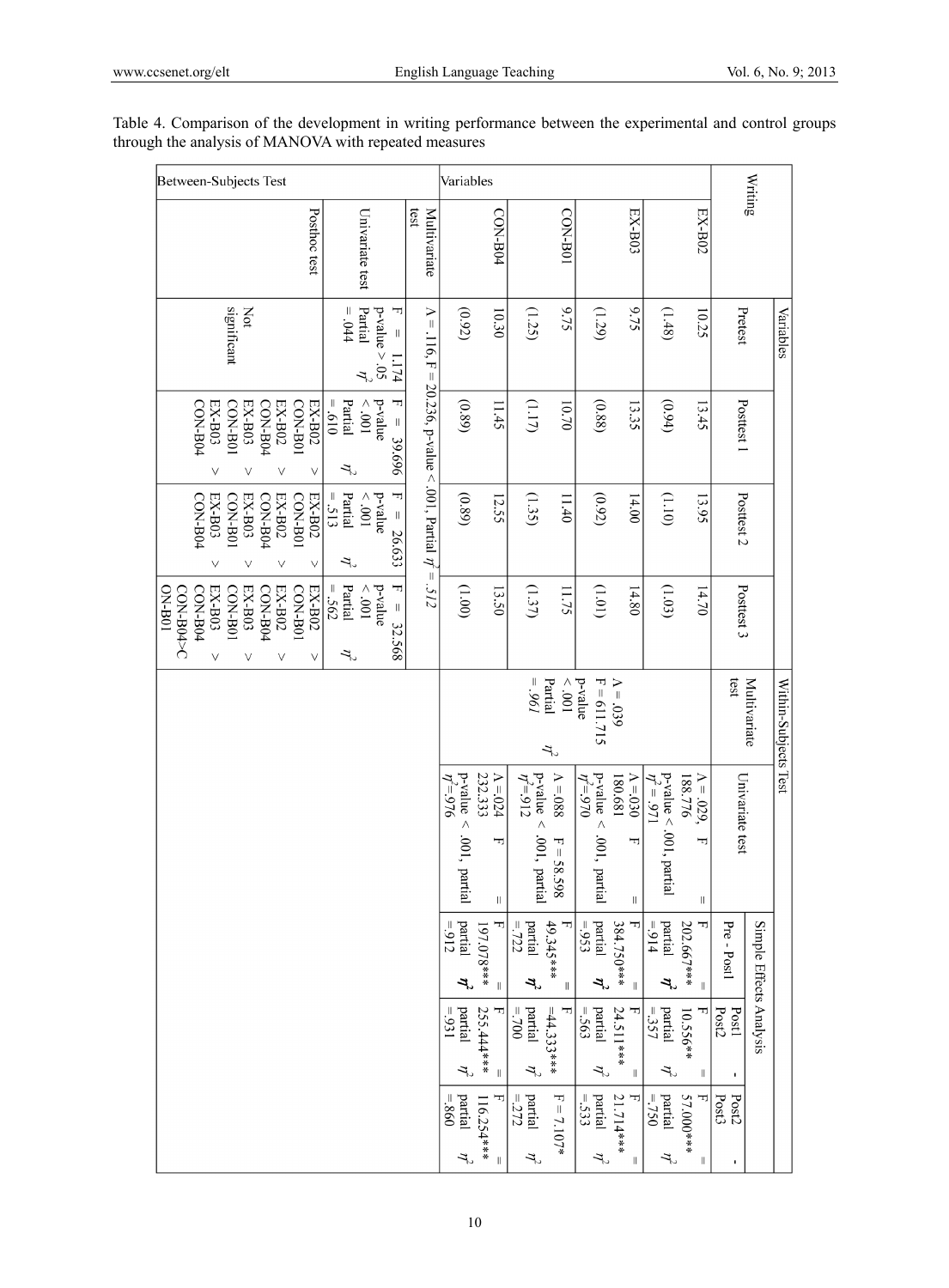| Between-Subjects Test                                                                                                                                 |                                                                                                                             |                                                                      | Variables                                                |                                                 |                                                          |                                    |                                                                                                        |                                                                                          |                     | Writing                              |
|-------------------------------------------------------------------------------------------------------------------------------------------------------|-----------------------------------------------------------------------------------------------------------------------------|----------------------------------------------------------------------|----------------------------------------------------------|-------------------------------------------------|----------------------------------------------------------|------------------------------------|--------------------------------------------------------------------------------------------------------|------------------------------------------------------------------------------------------|---------------------|--------------------------------------|
| Posthoc test                                                                                                                                          | Univariate test                                                                                                             | 1831<br>Multivariate                                                 |                                                          | CON-B04                                         |                                                          | L08-NO <sub>1</sub>                | EX-B03                                                                                                 | EX-B02                                                                                   |                     |                                      |
| significant<br>Not                                                                                                                                    | ᆩ<br>$= .044$<br>Partial<br>$p$ -value $> 0.05$<br>$\label{eq:1} \mid \; \; \mid$<br>1.174<br>$\mathcal{T}$                 |                                                                      | (0.92)                                                   | 10.30                                           | (1.25)                                                   | 6.75                               | 9.75<br>(1.29)                                                                                         | (1.48)<br>10.25                                                                          | Pretest             | Variables                            |
| CON-B04<br>$EX- B03$<br>CON-B0<br>CON-B04<br>EX-B02<br><b>CON-B01</b><br>EX-B02<br>EX-B03<br>٧<br>V<br>$\vee$<br>٧                                    | IJ<br>Partial<br>p-value<br>$019 =$<br>$100^\circ$ $>$<br>$\parallel$<br>39.696<br>ゴ                                        |                                                                      | (0.89)                                                   | 11.45                                           | $(1.17)$                                                 | 10.70                              | (0.88)<br>13.35                                                                                        | (0.94)<br>13.45                                                                          | Posttest 1          |                                      |
| EX-B02<br>EX-B02<br>CON-B04<br>EX-B03<br><b>CON-B01</b><br>EX-B03<br>CON-B04<br>CON-B01<br>$\vee$<br>V<br>V<br>V                                      | T<br>Partial<br>$= .513$<br>p-value<br>$100^\circ$ $>$<br>$\parallel$<br>26.633<br>ユ                                        | $\Lambda = 116$ , F = 20.236, p-value < .001, Partial $\eta' = .512$ | (0.89)                                                   | 12.55                                           | (1.35)                                                   | 11.40                              | (0.92)<br>14.00                                                                                        | (1.10)<br>13.95                                                                          | Posttest 2          |                                      |
| EX-B02<br><b>CON-B01</b><br>$EX-BO2$<br>CON-B04<br>EX-B03<br>CON-B04<br>CON-B04>C<br>$EX- B03$<br><b>CON B01</b><br><b>DN-B01</b><br>٧<br>V<br>V<br>٧ | Partial<br>F<br>$= .562$<br>$100^\circ$ $>$<br>p-value<br>$\label{eq:1} \left\vert \right\vert$<br>32.568<br>$\tilde{\tau}$ |                                                                      | $(00^{\circ}1)$                                          | 13.50                                           | (1.37)                                                   | 11.75                              | (101)<br>14.80                                                                                         | (1.03)<br>14.70                                                                          | Posttest 3          |                                      |
|                                                                                                                                                       |                                                                                                                             |                                                                      |                                                          |                                                 | $196 =$<br>Partial<br>$\tau$                             | $100^\circ$ $>$                    | p-value<br>$F = 611.715$<br>$\Lambda = .039$                                                           |                                                                                          | test                | Multivariate<br>Within-Subjects Test |
|                                                                                                                                                       |                                                                                                                             |                                                                      | $p$ -value $<$<br>$\hat{\eta} = 976$<br>$.001$ , partial | 232.333<br>$\Lambda$ =.024<br>ᆔ<br>$\vert\vert$ | $p-value$<br>$\eta^2 = 912$<br>$\wedge$<br>.001, partial | $\Lambda$ =.088<br>ᆔ<br>$=$ 58.598 | $p$ -value <<br>$\Lambda$ =.030<br>180.681<br>$\eta^2 = .970$<br>.001, partial<br>F<br>$\lvert \rvert$ | p-value < .001, partial<br>$\eta^2 = .971$<br>188.776<br>$A = .029,$<br>F<br>$\mid \mid$ | Univariate test     |                                      |
|                                                                                                                                                       |                                                                                                                             |                                                                      | partial<br>$= 912$<br>$\vec{r}$                          | 197.078***<br>$\parallel$                       | 49.345 ***<br>$=722$<br>$\emph{partial}$<br>$\vec{r}$    | $\lvert \rvert$                    | partial<br>384.750***<br>$=953$<br>$\vec{r}$<br>$\parallel$                                            | F<br>$= 914$<br>partial<br>202.667***<br>$\vec{r}$<br>$\parallel$                        | Pre - Postl         | Simple Effects Analysis              |
|                                                                                                                                                       |                                                                                                                             |                                                                      | partial<br>$=931$<br>$\eta^2$                            | 255.444***<br>ᆔ<br>$\, \parallel$               | $= 700$<br>partial<br>$=44.333***$<br>$\eta^2$           | F                                  | partial<br>24.511***<br>$=563$<br>$\eta^2$<br>$\parallel$                                              | $=357$<br>ᆏ<br>partial<br>10.556**<br>$\eta^2$<br>$\mid \mid$                            | Post2<br>Post1<br>٠ |                                      |
|                                                                                                                                                       |                                                                                                                             |                                                                      | partial<br>$-0.860$<br>$\eta^2$                          | ᆏ<br>116.254***<br>$\, \parallel$               | partial<br>$= 272$<br>$\eta^2$                           | $F = 7.107*$                       | partial<br>$=533$<br>21.714***<br>ᆩ<br>$\eta^2$<br>Ш                                                   | $=750$<br>partial<br>57.000 ***<br>ᆔ<br>$\tau$<br>$\mid \mid$                            | Post3<br>Post2<br>ı |                                      |

Table 4. Comparison of the development in writing performance between the experimental and control groups through the analysis of MANOVA with repeated measures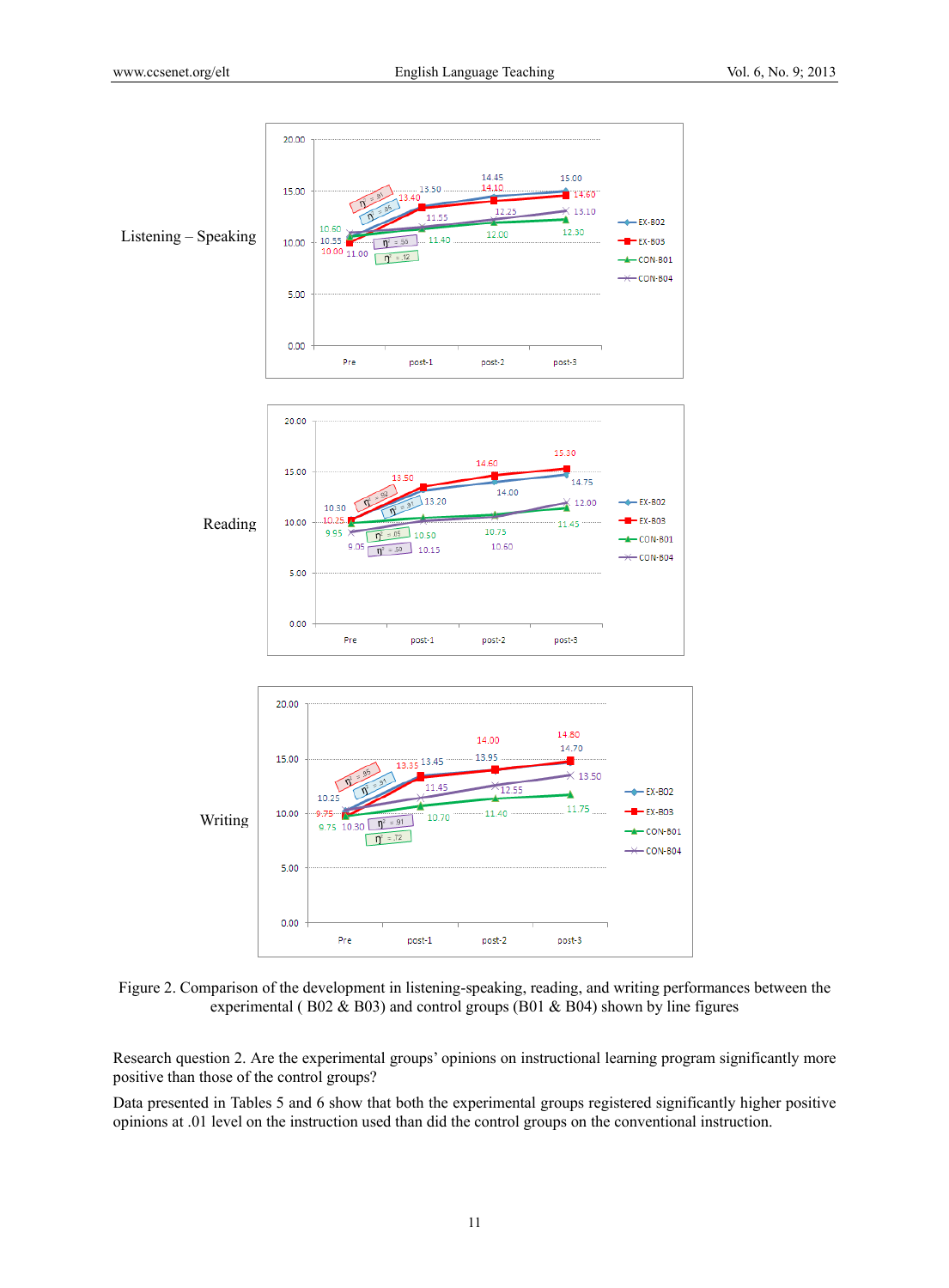

Figure 2. Comparison of the development in listening-speaking, reading, and writing performances between the experimental ( $B02 \& B03$ ) and control groups ( $B01 \& B04$ ) shown by line figures

Research question 2. Are the experimental groups' opinions on instructional learning program significantly more positive than those of the control groups?

Data presented in Tables 5 and 6 show that both the experimental groups registered significantly higher positive opinions at .01 level on the instruction used than did the control groups on the conventional instruction.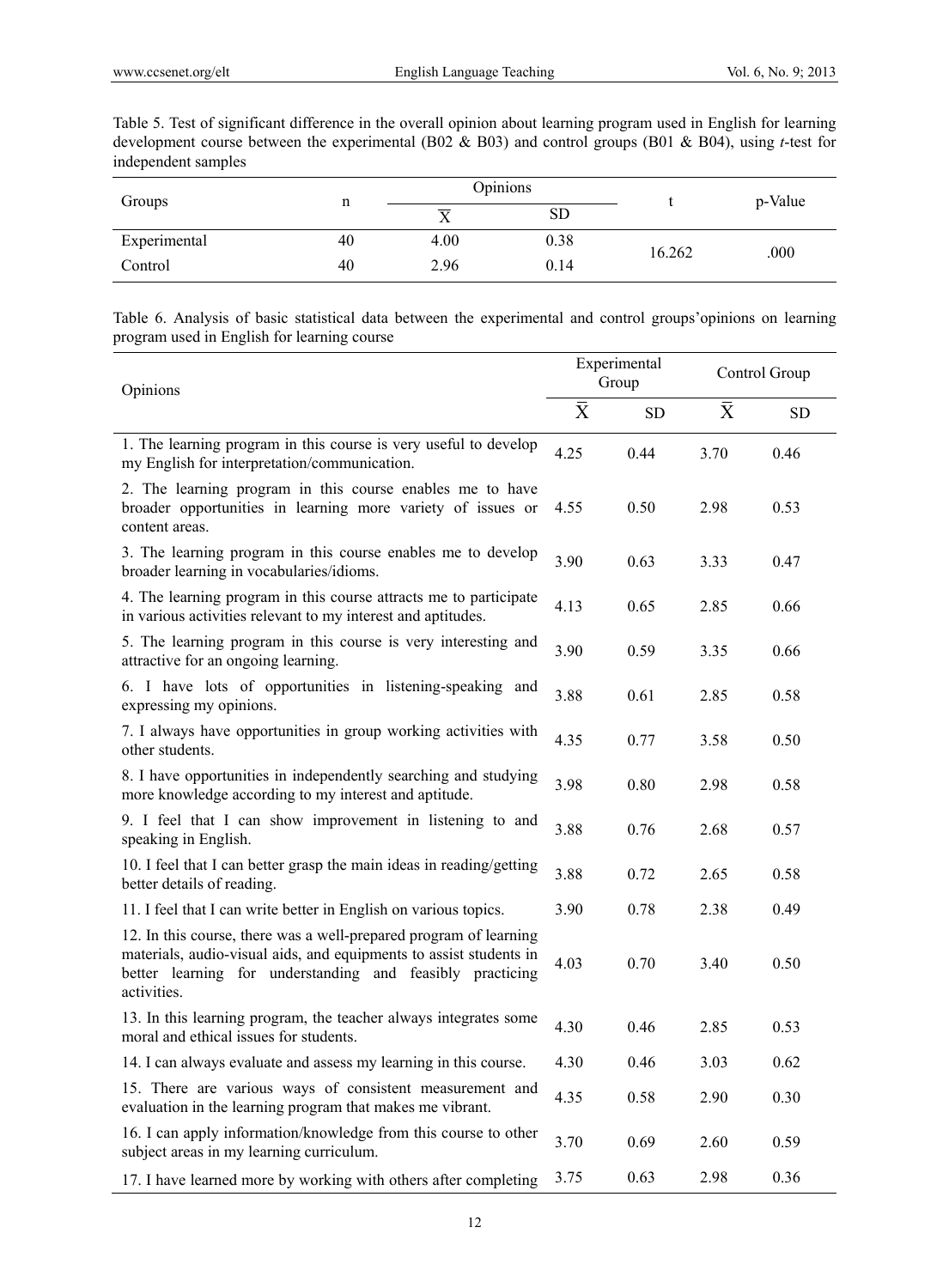Table 5. Test of significant difference in the overall opinion about learning program used in English for learning development course between the experimental (B02 & B03) and control groups (B01 & B04), using *t*-test for independent samples

| Groups       | n  |      | Opinions |        | p-Value |  |
|--------------|----|------|----------|--------|---------|--|
|              |    | ᠊ᡳ   | SD       |        |         |  |
| Experimental | 40 | 4.00 | 0.38     | 16.262 | .000    |  |
| Control      | 40 | 2.96 | 0.14     |        |         |  |

Table 6. Analysis of basic statistical data between the experimental and control groups'opinions on learning program used in English for learning course

| Opinions                                                                                                                                                                                                            |           | Experimental<br>Group |           | Control Group |
|---------------------------------------------------------------------------------------------------------------------------------------------------------------------------------------------------------------------|-----------|-----------------------|-----------|---------------|
|                                                                                                                                                                                                                     | $\bar{X}$ | <b>SD</b>             | $\bar{X}$ | ${\rm SD}$    |
| 1. The learning program in this course is very useful to develop<br>my English for interpretation/communication.                                                                                                    | 4.25      | 0.44                  | 3.70      | 0.46          |
| 2. The learning program in this course enables me to have<br>broader opportunities in learning more variety of issues or<br>content areas.                                                                          | 4.55      | 0.50                  | 2.98      | 0.53          |
| 3. The learning program in this course enables me to develop<br>broader learning in vocabularies/idioms.                                                                                                            | 3.90      | 0.63                  | 3.33      | 0.47          |
| 4. The learning program in this course attracts me to participate<br>in various activities relevant to my interest and aptitudes.                                                                                   | 4.13      | 0.65                  | 2.85      | 0.66          |
| 5. The learning program in this course is very interesting and<br>attractive for an ongoing learning.                                                                                                               | 3.90      | 0.59                  | 3.35      | 0.66          |
| 6. I have lots of opportunities in listening-speaking and<br>expressing my opinions.                                                                                                                                | 3.88      | 0.61                  | 2.85      | 0.58          |
| 7. I always have opportunities in group working activities with<br>other students.                                                                                                                                  | 4.35      | 0.77                  | 3.58      | 0.50          |
| 8. I have opportunities in independently searching and studying<br>more knowledge according to my interest and aptitude.                                                                                            | 3.98      | 0.80                  | 2.98      | 0.58          |
| 9. I feel that I can show improvement in listening to and<br>speaking in English.                                                                                                                                   | 3.88      | 0.76                  | 2.68      | 0.57          |
| 10. I feel that I can better grasp the main ideas in reading/getting<br>better details of reading.                                                                                                                  | 3.88      | 0.72                  | 2.65      | 0.58          |
| 11. I feel that I can write better in English on various topics.                                                                                                                                                    | 3.90      | 0.78                  | 2.38      | 0.49          |
| 12. In this course, there was a well-prepared program of learning<br>materials, audio-visual aids, and equipments to assist students in<br>better learning for understanding and feasibly practicing<br>activities. | 4.03      | 0.70                  | 3.40      | 0.50          |
| 13. In this learning program, the teacher always integrates some<br>moral and ethical issues for students.                                                                                                          | 4.30      | 0.46                  | 2.85      | 0.53          |
| 14. I can always evaluate and assess my learning in this course.                                                                                                                                                    | 4.30      | 0.46                  | 3.03      | 0.62          |
| 15. There are various ways of consistent measurement and<br>evaluation in the learning program that makes me vibrant.                                                                                               | 4.35      | 0.58                  | 2.90      | 0.30          |
| 16. I can apply information/knowledge from this course to other<br>subject areas in my learning curriculum.                                                                                                         | 3.70      | 0.69                  | 2.60      | 0.59          |
| 17. I have learned more by working with others after completing                                                                                                                                                     | 3.75      | 0.63                  | 2.98      | 0.36          |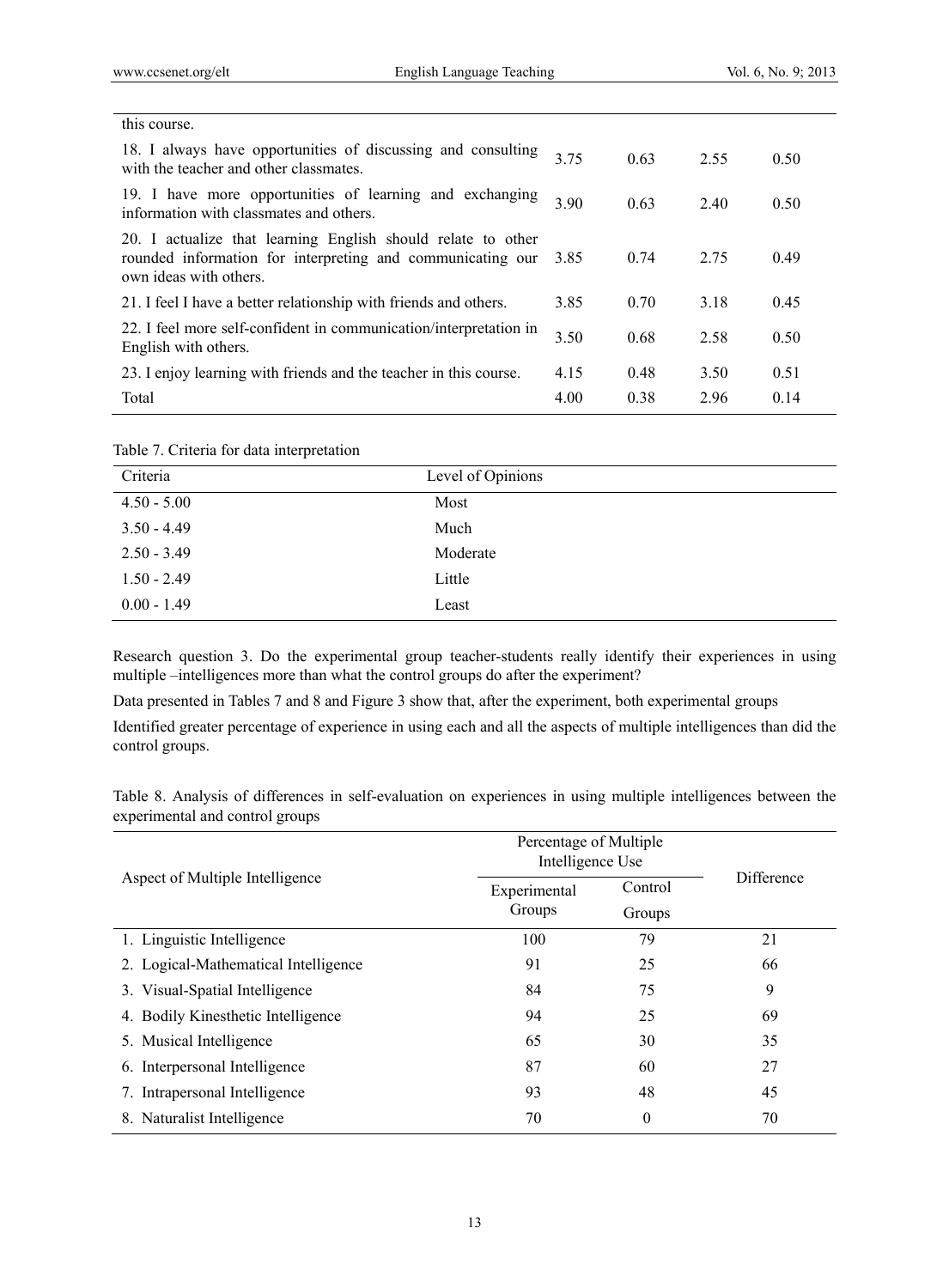l,

| this course.                                                                                                                                         |      |      |      |      |
|------------------------------------------------------------------------------------------------------------------------------------------------------|------|------|------|------|
| 18. I always have opportunities of discussing and consulting<br>with the teacher and other classmates.                                               | 3.75 | 0.63 | 2.55 | 0.50 |
| 19. I have more opportunities of learning and exchanging<br>information with classmates and others.                                                  | 3.90 | 0.63 | 2.40 | 0.50 |
| 20. I actualize that learning English should relate to other<br>rounded information for interpreting and communicating our<br>own ideas with others. | 3.85 | 0.74 | 2.75 | 0.49 |
| 21. I feel I have a better relationship with friends and others.                                                                                     | 3.85 | 0.70 | 3.18 | 0.45 |
| 22. I feel more self-confident in communication/interpretation in<br>English with others.                                                            | 3.50 | 0.68 | 2.58 | 0.50 |
| 23. I enjoy learning with friends and the teacher in this course.                                                                                    | 4.15 | 0.48 | 3.50 | 0.51 |
| Total                                                                                                                                                | 4.00 | 0.38 | 2.96 | 0.14 |
|                                                                                                                                                      |      |      |      |      |

| Table 7. Criteria for data interpretation |  |  |  |  |  |
|-------------------------------------------|--|--|--|--|--|
|-------------------------------------------|--|--|--|--|--|

| Criteria      | Level of Opinions |
|---------------|-------------------|
| $4.50 - 5.00$ | Most              |
| $3.50 - 4.49$ | Much              |
| $2.50 - 3.49$ | Moderate          |
| $1.50 - 2.49$ | Little            |
| $0.00 - 1.49$ | Least             |

Research question 3. Do the experimental group teacher-students really identify their experiences in using multiple –intelligences more than what the control groups do after the experiment?

Data presented in Tables 7 and 8 and Figure 3 show that, after the experiment, both experimental groups

Identified greater percentage of experience in using each and all the aspects of multiple intelligences than did the control groups.

Table 8. Analysis of differences in self-evaluation on experiences in using multiple intelligences between the experimental and control groups

|                                      | Percentage of Multiple<br>Intelligence Use |                   |            |
|--------------------------------------|--------------------------------------------|-------------------|------------|
| Aspect of Multiple Intelligence      | Experimental<br>Groups                     | Control<br>Groups | Difference |
| 1. Linguistic Intelligence           | 100                                        | 79                | 21         |
| 2. Logical-Mathematical Intelligence | 91                                         | 25                | 66         |
| 3. Visual-Spatial Intelligence       | 84                                         | 75                | 9          |
| 4. Bodily Kinesthetic Intelligence   | 94                                         | 25                | 69         |
| 5. Musical Intelligence              | 65                                         | 30                | 35         |
| 6. Interpersonal Intelligence        | 87                                         | 60                | 27         |
| 7. Intrapersonal Intelligence        | 93                                         | 48                | 45         |
| Naturalist Intelligence<br>8.        | 70                                         | 0                 | 70         |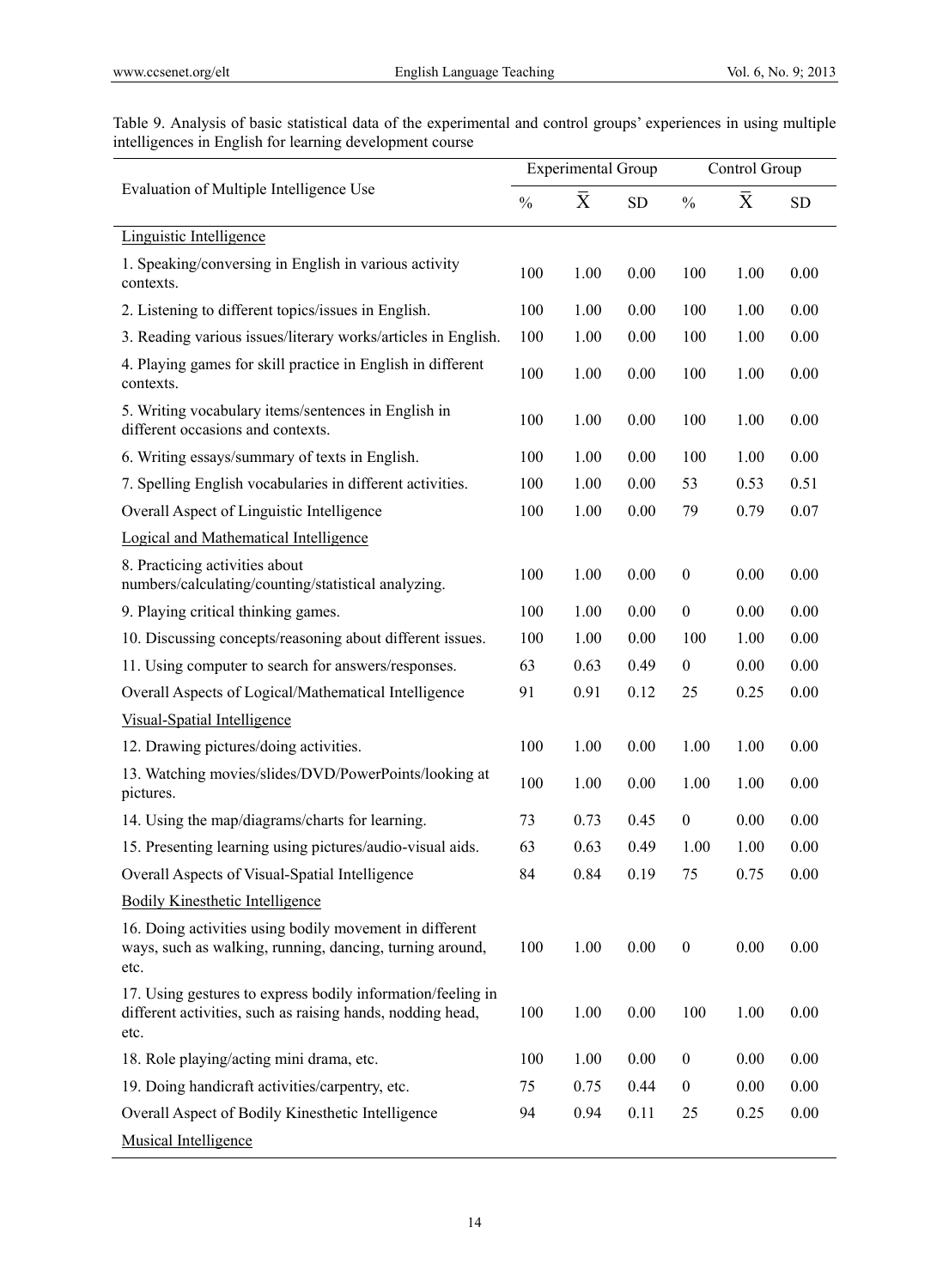Table 9. Analysis of basic statistical data of the experimental and control groups' experiences in using multiple intelligences in English for learning development course  $\overline{a}$ 

|                                                                                                                                   |               | <b>Experimental Group</b> |      |                  | Control Group |           |
|-----------------------------------------------------------------------------------------------------------------------------------|---------------|---------------------------|------|------------------|---------------|-----------|
| Evaluation of Multiple Intelligence Use                                                                                           | $\frac{0}{0}$ | $\bar{X}$                 | SD   | $\frac{0}{0}$    | $\bar{X}$     | <b>SD</b> |
| Linguistic Intelligence                                                                                                           |               |                           |      |                  |               |           |
| 1. Speaking/conversing in English in various activity<br>contexts.                                                                | 100           | 1.00                      | 0.00 | 100              | 1.00          | 0.00      |
| 2. Listening to different topics/issues in English.                                                                               | 100           | 1.00                      | 0.00 | 100              | 1.00          | 0.00      |
| 3. Reading various issues/literary works/articles in English.                                                                     | 100           | 1.00                      | 0.00 | 100              | 1.00          | 0.00      |
| 4. Playing games for skill practice in English in different<br>contexts.                                                          | 100           | 1.00                      | 0.00 | 100              | 1.00          | 0.00      |
| 5. Writing vocabulary items/sentences in English in<br>different occasions and contexts.                                          | 100           | 1.00                      | 0.00 | 100              | 1.00          | 0.00      |
| 6. Writing essays/summary of texts in English.                                                                                    | 100           | 1.00                      | 0.00 | 100              | 1.00          | 0.00      |
| 7. Spelling English vocabularies in different activities.                                                                         | 100           | 1.00                      | 0.00 | 53               | 0.53          | 0.51      |
| Overall Aspect of Linguistic Intelligence                                                                                         | 100           | 1.00                      | 0.00 | 79               | 0.79          | 0.07      |
| <b>Logical and Mathematical Intelligence</b>                                                                                      |               |                           |      |                  |               |           |
| 8. Practicing activities about<br>numbers/calculating/counting/statistical analyzing.                                             | 100           | 1.00                      | 0.00 | $\boldsymbol{0}$ | 0.00          | 0.00      |
| 9. Playing critical thinking games.                                                                                               | 100           | 1.00                      | 0.00 | $\mathbf{0}$     | 0.00          | 0.00      |
| 10. Discussing concepts/reasoning about different issues.                                                                         | 100           | 1.00                      | 0.00 | 100              | 1.00          | 0.00      |
| 11. Using computer to search for answers/responses.                                                                               | 63            | 0.63                      | 0.49 | $\boldsymbol{0}$ | 0.00          | 0.00      |
| Overall Aspects of Logical/Mathematical Intelligence                                                                              | 91            | 0.91                      | 0.12 | 25               | 0.25          | 0.00      |
| Visual-Spatial Intelligence                                                                                                       |               |                           |      |                  |               |           |
| 12. Drawing pictures/doing activities.                                                                                            | 100           | 1.00                      | 0.00 | 1.00             | 1.00          | 0.00      |
| 13. Watching movies/slides/DVD/PowerPoints/looking at<br>pictures.                                                                | 100           | 1.00                      | 0.00 | 1.00             | 1.00          | 0.00      |
| 14. Using the map/diagrams/charts for learning.                                                                                   | 73            | 0.73                      | 0.45 | $\boldsymbol{0}$ | 0.00          | 0.00      |
| 15. Presenting learning using pictures/audio-visual aids.                                                                         | 63            | 0.63                      | 0.49 | 1.00             | 1.00          | 0.00      |
| Overall Aspects of Visual-Spatial Intelligence                                                                                    | 84            | 0.84                      | 0.19 | 75               | 0.75          | 0.00      |
| <b>Bodily Kinesthetic Intelligence</b>                                                                                            |               |                           |      |                  |               |           |
| 16. Doing activities using bodily movement in different<br>ways, such as walking, running, dancing, turning around,<br>etc.       | 100           | 1.00                      | 0.00 | $\boldsymbol{0}$ | 0.00          | 0.00      |
| 17. Using gestures to express bodily information/feeling in<br>different activities, such as raising hands, nodding head,<br>etc. | 100           | 1.00                      | 0.00 | 100              | 1.00          | 0.00      |
| 18. Role playing/acting mini drama, etc.                                                                                          | 100           | 1.00                      | 0.00 | $\boldsymbol{0}$ | 0.00          | 0.00      |
| 19. Doing handicraft activities/carpentry, etc.                                                                                   | 75            | 0.75                      | 0.44 | $\boldsymbol{0}$ | 0.00          | 0.00      |
| Overall Aspect of Bodily Kinesthetic Intelligence                                                                                 | 94            | 0.94                      | 0.11 | 25               | 0.25          | 0.00      |
| <b>Musical Intelligence</b>                                                                                                       |               |                           |      |                  |               |           |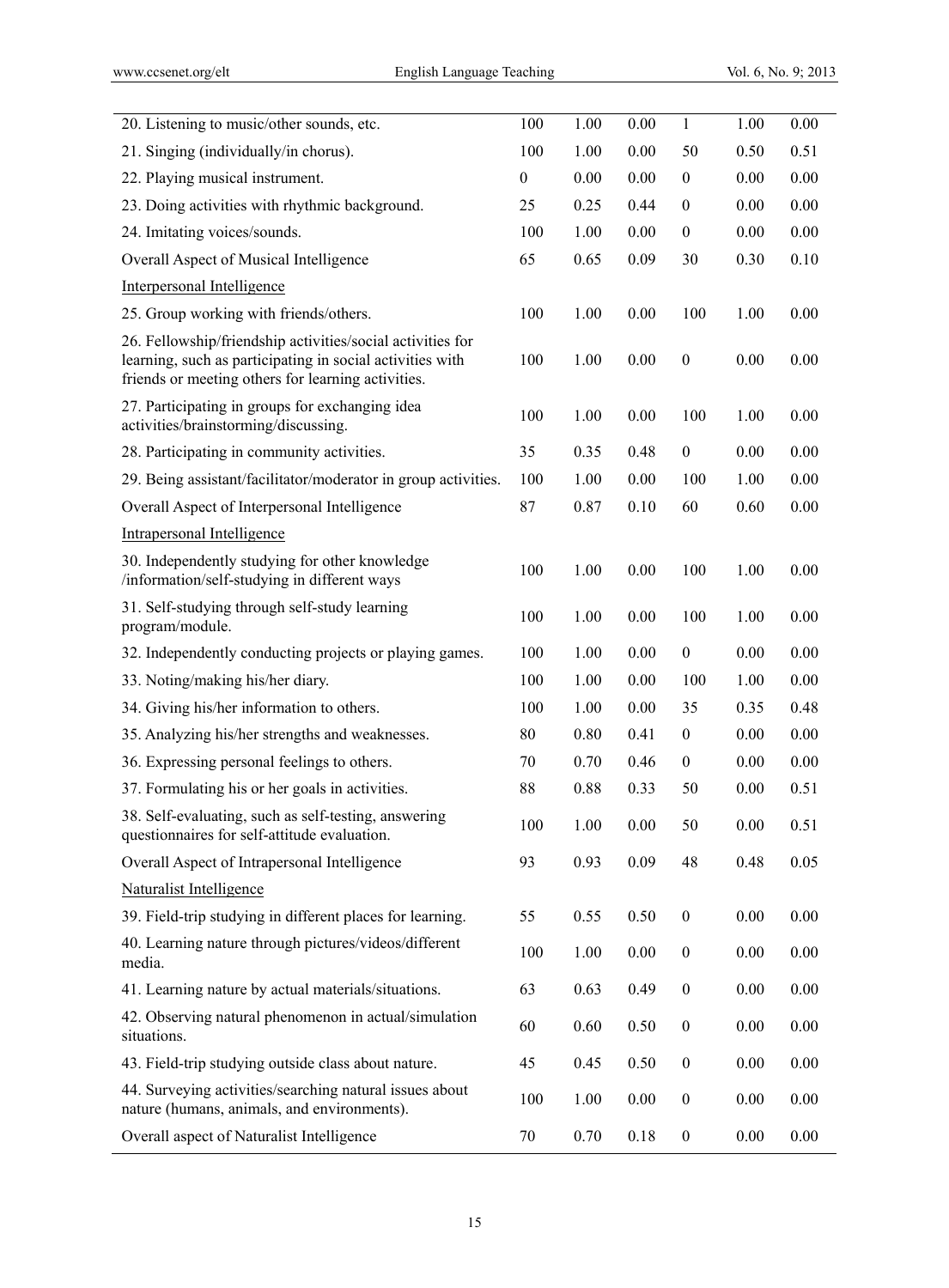| 100              | 1.00 | 0.00 | $\mathbf{1}$     | 1.00 | 0.00     |
|------------------|------|------|------------------|------|----------|
| 100              | 1.00 | 0.00 | 50               | 0.50 | 0.51     |
| $\boldsymbol{0}$ | 0.00 | 0.00 | $\boldsymbol{0}$ | 0.00 | 0.00     |
| 25               | 0.25 | 0.44 | $\boldsymbol{0}$ | 0.00 | 0.00     |
| 100              | 1.00 | 0.00 | $\boldsymbol{0}$ | 0.00 | 0.00     |
| 65               | 0.65 | 0.09 | 30               | 0.30 | 0.10     |
|                  |      |      |                  |      |          |
| 100              | 1.00 | 0.00 | 100              | 1.00 | 0.00     |
| 100              | 1.00 | 0.00 | $\boldsymbol{0}$ | 0.00 | 0.00     |
| 100              | 1.00 | 0.00 | 100              | 1.00 | 0.00     |
| 35               | 0.35 | 0.48 | $\boldsymbol{0}$ | 0.00 | 0.00     |
| 100              | 1.00 | 0.00 | 100              | 1.00 | 0.00     |
| 87               | 0.87 | 0.10 | 60               | 0.60 | 0.00     |
|                  |      |      |                  |      |          |
| 100              | 1.00 | 0.00 | 100              | 1.00 | 0.00     |
| 100              | 1.00 | 0.00 | 100              | 1.00 | 0.00     |
| 100              | 1.00 | 0.00 | $\boldsymbol{0}$ | 0.00 | 0.00     |
| 100              | 1.00 | 0.00 | 100              | 1.00 | 0.00     |
| 100              | 1.00 | 0.00 | 35               | 0.35 | 0.48     |
| 80               | 0.80 | 0.41 | $\boldsymbol{0}$ | 0.00 | $0.00\,$ |
| 70               | 0.70 | 0.46 | $\boldsymbol{0}$ | 0.00 | 0.00     |
| 88               | 0.88 | 0.33 | 50               | 0.00 | 0.51     |
| 100              | 1.00 | 0.00 | 50               | 0.00 | 0.51     |
| 93               | 0.93 | 0.09 | 48               | 0.48 | 0.05     |
|                  |      |      |                  |      |          |
| 55               | 0.55 | 0.50 | $\boldsymbol{0}$ | 0.00 | 0.00     |
| 100              | 1.00 | 0.00 | $\boldsymbol{0}$ | 0.00 | 0.00     |
| 63               | 0.63 | 0.49 | $\boldsymbol{0}$ | 0.00 | 0.00     |
| 60               | 0.60 | 0.50 | $\boldsymbol{0}$ | 0.00 | 0.00     |
| 45               | 0.45 | 0.50 | $\boldsymbol{0}$ | 0.00 | 0.00     |
| 100              | 1.00 | 0.00 | $\boldsymbol{0}$ | 0.00 | 0.00     |
| 70               | 0.70 | 0.18 | $\boldsymbol{0}$ | 0.00 | 0.00     |
|                  |      |      |                  |      |          |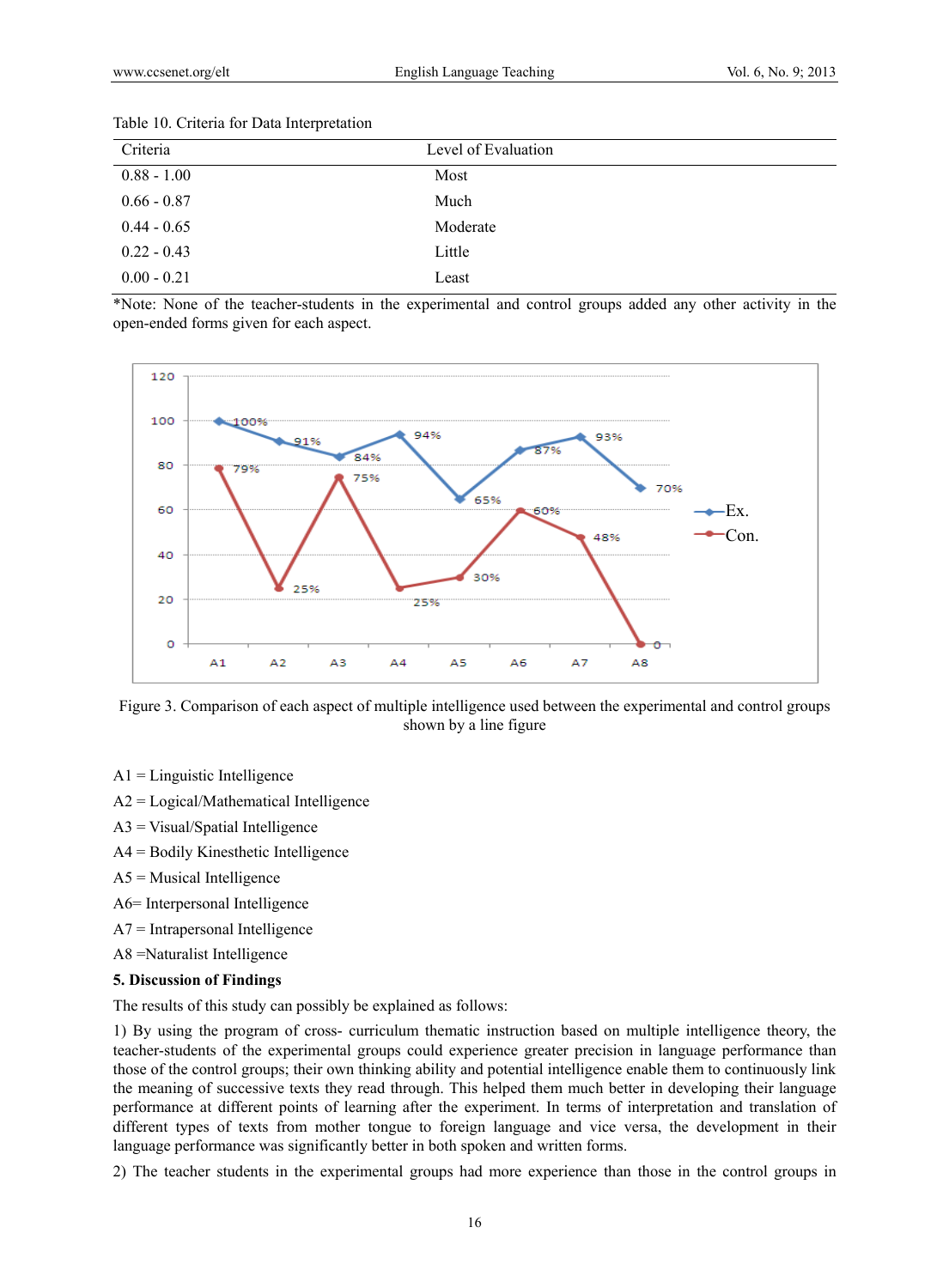| Criteria      | Level of Evaluation |
|---------------|---------------------|
| $0.88 - 1.00$ | Most                |
| $0.66 - 0.87$ | Much                |
| $0.44 - 0.65$ | Moderate            |
| $0.22 - 0.43$ | Little              |
| $0.00 - 0.21$ | Least               |

#### Table 10. Criteria for Data Interpretation

\*Note: None of the teacher-students in the experimental and control groups added any other activity in the open-ended forms given for each aspect.



Figure 3. Comparison of each aspect of multiple intelligence used between the experimental and control groups shown by a line figure

- $A1 =$ Linguistic Intelligence
- A2 = Logical/Mathematical Intelligence
- A3 = Visual/Spatial Intelligence
- A4 = Bodily Kinesthetic Intelligence
- $A5$  = Musical Intelligence
- A6= Interpersonal Intelligence
- A7 = Intrapersonal Intelligence
- A8 =Naturalist Intelligence

# **5. Discussion of Findings**

The results of this study can possibly be explained as follows:

1) By using the program of cross- curriculum thematic instruction based on multiple intelligence theory, the teacher-students of the experimental groups could experience greater precision in language performance than those of the control groups; their own thinking ability and potential intelligence enable them to continuously link the meaning of successive texts they read through. This helped them much better in developing their language performance at different points of learning after the experiment. In terms of interpretation and translation of different types of texts from mother tongue to foreign language and vice versa, the development in their language performance was significantly better in both spoken and written forms.

2) The teacher students in the experimental groups had more experience than those in the control groups in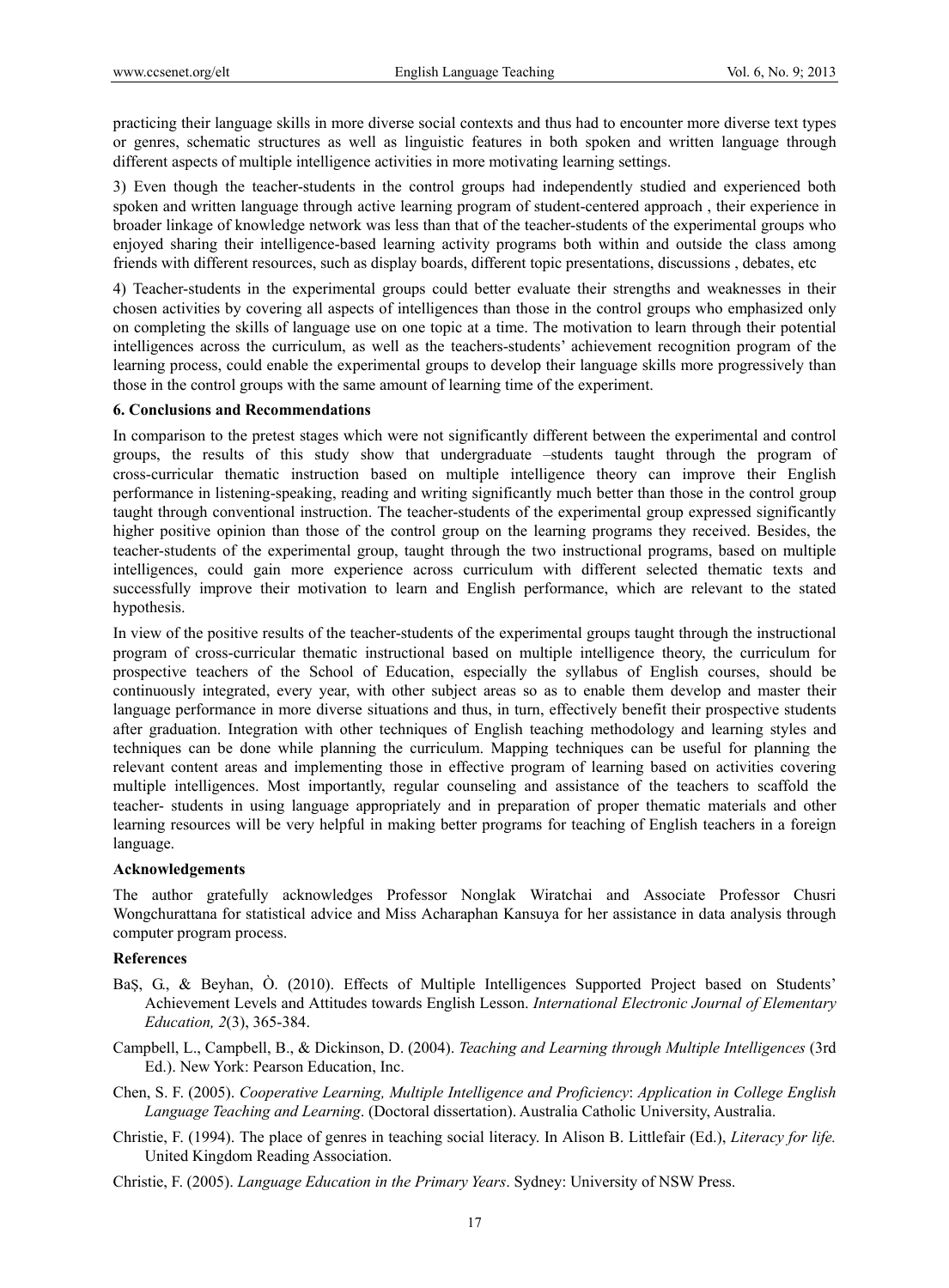practicing their language skills in more diverse social contexts and thus had to encounter more diverse text types or genres, schematic structures as well as linguistic features in both spoken and written language through different aspects of multiple intelligence activities in more motivating learning settings.

3) Even though the teacher-students in the control groups had independently studied and experienced both spoken and written language through active learning program of student-centered approach , their experience in broader linkage of knowledge network was less than that of the teacher-students of the experimental groups who enjoyed sharing their intelligence-based learning activity programs both within and outside the class among friends with different resources, such as display boards, different topic presentations, discussions , debates, etc

4) Teacher-students in the experimental groups could better evaluate their strengths and weaknesses in their chosen activities by covering all aspects of intelligences than those in the control groups who emphasized only on completing the skills of language use on one topic at a time. The motivation to learn through their potential intelligences across the curriculum, as well as the teachers-students' achievement recognition program of the learning process, could enable the experimental groups to develop their language skills more progressively than those in the control groups with the same amount of learning time of the experiment.

#### **6. Conclusions and Recommendations**

In comparison to the pretest stages which were not significantly different between the experimental and control groups, the results of this study show that undergraduate –students taught through the program of cross-curricular thematic instruction based on multiple intelligence theory can improve their English performance in listening-speaking, reading and writing significantly much better than those in the control group taught through conventional instruction. The teacher-students of the experimental group expressed significantly higher positive opinion than those of the control group on the learning programs they received. Besides, the teacher-students of the experimental group, taught through the two instructional programs, based on multiple intelligences, could gain more experience across curriculum with different selected thematic texts and successfully improve their motivation to learn and English performance, which are relevant to the stated hypothesis.

In view of the positive results of the teacher-students of the experimental groups taught through the instructional program of cross-curricular thematic instructional based on multiple intelligence theory, the curriculum for prospective teachers of the School of Education, especially the syllabus of English courses, should be continuously integrated, every year, with other subject areas so as to enable them develop and master their language performance in more diverse situations and thus, in turn, effectively benefit their prospective students after graduation. Integration with other techniques of English teaching methodology and learning styles and techniques can be done while planning the curriculum. Mapping techniques can be useful for planning the relevant content areas and implementing those in effective program of learning based on activities covering multiple intelligences. Most importantly, regular counseling and assistance of the teachers to scaffold the teacher- students in using language appropriately and in preparation of proper thematic materials and other learning resources will be very helpful in making better programs for teaching of English teachers in a foreign language.

#### **Acknowledgements**

The author gratefully acknowledges Professor Nonglak Wiratchai and Associate Professor Chusri Wongchurattana for statistical advice and Miss Acharaphan Kansuya for her assistance in data analysis through computer program process.

## **References**

- BaŞ, G., & Beyhan, Ò. (2010). Effects of Multiple Intelligences Supported Project based on Students' Achievement Levels and Attitudes towards English Lesson. *International Electronic Journal of Elementary Education, 2*(3), 365-384.
- Campbell, L., Campbell, B., & Dickinson, D. (2004). *Teaching and Learning through Multiple Intelligences* (3rd Ed.). New York: Pearson Education, Inc.
- Chen, S. F. (2005). *Cooperative Learning, Multiple Intelligence and Proficiency*: *Application in College English Language Teaching and Learning*. (Doctoral dissertation). Australia Catholic University, Australia.
- Christie, F. (1994). The place of genres in teaching social literacy. In Alison B. Littlefair (Ed.), *Literacy for life.* United Kingdom Reading Association.
- Christie, F. (2005). *Language Education in the Primary Years*. Sydney: University of NSW Press.